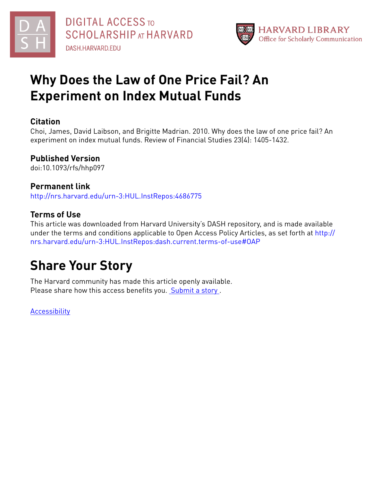



# **Why Does the Law of One Price Fail? An Experiment on Index Mutual Funds**

# **Citation**

Choi, James, David Laibson, and Brigitte Madrian. 2010. Why does the law of one price fail? An experiment on index mutual funds. Review of Financial Studies 23(4): 1405-1432.

# **Published Version**

doi:10.1093/rfs/hhp097

# **Permanent link**

<http://nrs.harvard.edu/urn-3:HUL.InstRepos:4686775>

# **Terms of Use**

This article was downloaded from Harvard University's DASH repository, and is made available under the terms and conditions applicable to Open Access Policy Articles, as set forth at [http://](http://nrs.harvard.edu/urn-3:HUL.InstRepos:dash.current.terms-of-use#OAP) [nrs.harvard.edu/urn-3:HUL.InstRepos:dash.current.terms-of-use#OAP](http://nrs.harvard.edu/urn-3:HUL.InstRepos:dash.current.terms-of-use#OAP)

# **Share Your Story**

The Harvard community has made this article openly available. Please share how this access benefits you. [Submit](http://osc.hul.harvard.edu/dash/open-access-feedback?handle=&title=Why%20Does%20the%20Law%20of%20One%20Price%20Fail?%20An%20Experiment%20on%20Index%20Mutual%20Funds&community=1/1&collection=1/2&owningCollection1/2&harvardAuthors=8045fbba514eefd07873da4d0c185656&departmentEconomics) a story.

**[Accessibility](https://dash.harvard.edu/pages/accessibility)**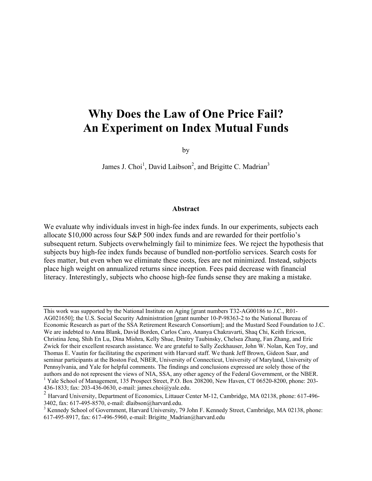# **Why Does the Law of One Price Fail? An Experiment on Index Mutual Funds**

by

James J. Choi<sup>1</sup>, David Laibson<sup>2</sup>, and Brigitte C. Madrian<sup>3</sup>

#### **Abstract**

We evaluate why individuals invest in high-fee index funds. In our experiments, subjects each allocate \$10,000 across four S&P 500 index funds and are rewarded for their portfolio's subsequent return. Subjects overwhelmingly fail to minimize fees. We reject the hypothesis that subjects buy high-fee index funds because of bundled non-portfolio services. Search costs for fees matter, but even when we eliminate these costs, fees are not minimized. Instead, subjects place high weight on annualized returns since inception. Fees paid decrease with financial literacy. Interestingly, subjects who choose high-fee funds sense they are making a mistake.

This work was supported by the National Institute on Aging [grant numbers T32-AG00186 to J.C., R01- AG021650]; the U.S. Social Security Administration [grant number 10-P-98363-2 to the National Bureau of Economic Research as part of the SSA Retirement Research Consortium]; and the Mustard Seed Foundation to J.C. We are indebted to Anna Blank, David Borden, Carlos Caro, Ananya Chakravarti, Shaq Chi, Keith Ericson, Christina Jenq, Shih En Lu, Dina Mishra, Kelly Shue, Dmitry Taubinsky, Chelsea Zhang, Fan Zhang, and Eric Zwick for their excellent research assistance. We are grateful to Sally Zeckhauser, John W. Nolan, Ken Toy, and Thomas E. Vautin for facilitating the experiment with Harvard staff. We thank Jeff Brown, Gideon Saar, and seminar participants at the Boston Fed, NBER, University of Connecticut, University of Maryland, University of Pennsylvania, and Yale for helpful comments. The findings and conclusions expressed are solely those of the authors and do not represent the views of NIA, SSA, any other agency of the Federal Government, or the NBER. <sup>1</sup> Yale School of Management, 135 Prospect Street, P.O. Box 208200, New Haven, CT 06520-8200, phone: 203-436-1833; fax: 203-436-0630, e-mail: james.choi@yale.edu.

 $2$  Harvard University, Department of Economics, Littauer Center M-12, Cambridge, MA 02138, phone: 617-496-3402, fax: 617-495-8570, e-mail: dlaibson@harvard.edu.

<sup>&</sup>lt;sup>3</sup> Kennedy School of Government, Harvard University, 79 John F. Kennedy Street, Cambridge, MA 02138, phone: 617-495-8917, fax: 617-496-5960, e-mail: Brigitte\_Madrian@harvard.edu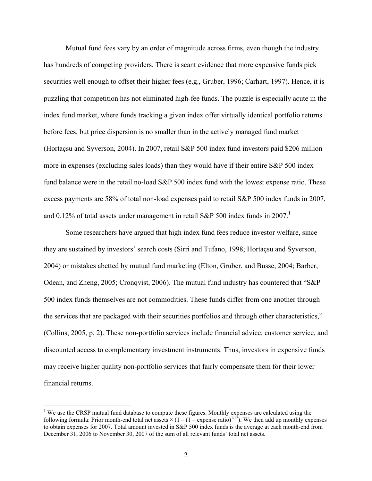Mutual fund fees vary by an order of magnitude across firms, even though the industry has hundreds of competing providers. There is scant evidence that more expensive funds pick securities well enough to offset their higher fees (e.g., Gruber, 1996; Carhart, 1997). Hence, it is puzzling that competition has not eliminated high-fee funds. The puzzle is especially acute in the index fund market, where funds tracking a given index offer virtually identical portfolio returns before fees, but price dispersion is no smaller than in the actively managed fund market (Hortaçsu and Syverson, 2004). In 2007, retail S&P 500 index fund investors paid \$206 million more in expenses (excluding sales loads) than they would have if their entire S&P 500 index fund balance were in the retail no-load S&P 500 index fund with the lowest expense ratio. These excess payments are 58% of total non-load expenses paid to retail S&P 500 index funds in 2007, and 0.12% of total assets under management in retail S&P 500 index funds in 2007.<sup>1</sup>

Some researchers have argued that high index fund fees reduce investor welfare, since they are sustained by investors' search costs (Sirri and Tufano, 1998; Hortaçsu and Syverson, 2004) or mistakes abetted by mutual fund marketing (Elton, Gruber, and Busse, 2004; Barber, Odean, and Zheng, 2005; Cronqvist, 2006). The mutual fund industry has countered that "S&P 500 index funds themselves are not commodities. These funds differ from one another through the services that are packaged with their securities portfolios and through other characteristics," (Collins, 2005, p. 2). These non-portfolio services include financial advice, customer service, and discounted access to complementary investment instruments. Thus, investors in expensive funds may receive higher quality non-portfolio services that fairly compensate them for their lower financial returns.

 $\overline{a}$ 

<sup>&</sup>lt;sup>1</sup> We use the CRSP mutual fund database to compute these figures. Monthly expenses are calculated using the following formula: Prior month-end total net assets  $\times (1 - (1 - \text{expense ratio})^{1/12})$ . We then add up monthly expenses to obtain expenses for 2007. Total amount invested in S&P 500 index funds is the average at each month-end from December 31, 2006 to November 30, 2007 of the sum of all relevant funds' total net assets.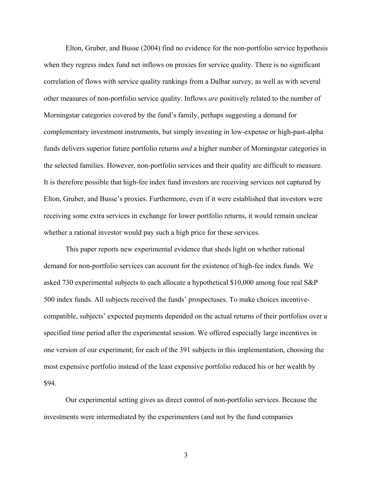Elton, Gruber, and Busse (2004) find no evidence for the non-portfolio service hypothesis when they regress index fund net inflows on proxies for service quality. There is no significant correlation of flows with service quality rankings from a Dalbar survey, as well as with several other measures of non-portfolio service quality. Inflows *are* positively related to the number of Morningstar categories covered by the fund's family, perhaps suggesting a demand for complementary investment instruments, but simply investing in low-expense or high-past-alpha funds delivers superior future portfolio returns *and* a higher number of Morningstar categories in the selected families. However, non-portfolio services and their quality are difficult to measure. It is therefore possible that high-fee index fund investors are receiving services not captured by Elton, Gruber, and Busse's proxies. Furthermore, even if it were established that investors were receiving some extra services in exchange for lower portfolio returns, it would remain unclear whether a rational investor would pay such a high price for these services.

This paper reports new experimental evidence that sheds light on whether rational demand for non-portfolio services can account for the existence of high-fee index funds. We asked 730 experimental subjects to each allocate a hypothetical \$10,000 among four real S&P 500 index funds. All subjects received the funds' prospectuses. To make choices incentivecompatible, subjects' expected payments depended on the actual returns of their portfolios over a specified time period after the experimental session. We offered especially large incentives in one version of our experiment; for each of the 391 subjects in this implementation, choosing the most expensive portfolio instead of the least expensive portfolio reduced his or her wealth by \$94.

Our experimental setting gives us direct control of non-portfolio services. Because the investments were intermediated by the experimenters (and not by the fund companies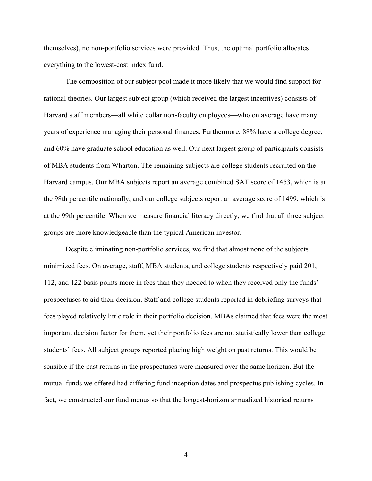themselves), no non-portfolio services were provided. Thus, the optimal portfolio allocates everything to the lowest-cost index fund.

The composition of our subject pool made it more likely that we would find support for rational theories. Our largest subject group (which received the largest incentives) consists of Harvard staff members—all white collar non-faculty employees—who on average have many years of experience managing their personal finances. Furthermore, 88% have a college degree, and 60% have graduate school education as well. Our next largest group of participants consists of MBA students from Wharton. The remaining subjects are college students recruited on the Harvard campus. Our MBA subjects report an average combined SAT score of 1453, which is at the 98th percentile nationally, and our college subjects report an average score of 1499, which is at the 99th percentile. When we measure financial literacy directly, we find that all three subject groups are more knowledgeable than the typical American investor.

Despite eliminating non-portfolio services, we find that almost none of the subjects minimized fees. On average, staff, MBA students, and college students respectively paid 201, 112, and 122 basis points more in fees than they needed to when they received only the funds' prospectuses to aid their decision. Staff and college students reported in debriefing surveys that fees played relatively little role in their portfolio decision. MBAs claimed that fees were the most important decision factor for them, yet their portfolio fees are not statistically lower than college students' fees. All subject groups reported placing high weight on past returns. This would be sensible if the past returns in the prospectuses were measured over the same horizon. But the mutual funds we offered had differing fund inception dates and prospectus publishing cycles. In fact, we constructed our fund menus so that the longest-horizon annualized historical returns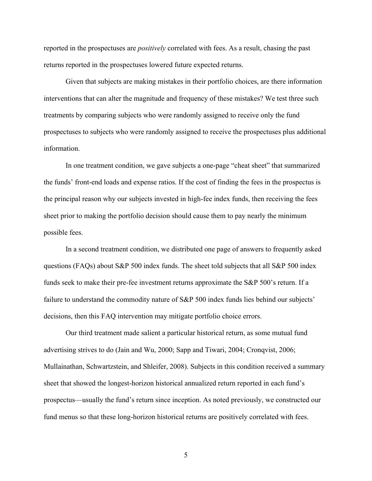reported in the prospectuses are *positively* correlated with fees. As a result, chasing the past returns reported in the prospectuses lowered future expected returns.

Given that subjects are making mistakes in their portfolio choices, are there information interventions that can alter the magnitude and frequency of these mistakes? We test three such treatments by comparing subjects who were randomly assigned to receive only the fund prospectuses to subjects who were randomly assigned to receive the prospectuses plus additional information.

In one treatment condition, we gave subjects a one-page "cheat sheet" that summarized the funds' front-end loads and expense ratios. If the cost of finding the fees in the prospectus is the principal reason why our subjects invested in high-fee index funds, then receiving the fees sheet prior to making the portfolio decision should cause them to pay nearly the minimum possible fees.

In a second treatment condition, we distributed one page of answers to frequently asked questions (FAQs) about S&P 500 index funds. The sheet told subjects that all S&P 500 index funds seek to make their pre-fee investment returns approximate the S&P 500's return. If a failure to understand the commodity nature of S&P 500 index funds lies behind our subjects' decisions, then this FAQ intervention may mitigate portfolio choice errors.

Our third treatment made salient a particular historical return, as some mutual fund advertising strives to do (Jain and Wu, 2000; Sapp and Tiwari, 2004; Cronqvist, 2006; Mullainathan, Schwartzstein, and Shleifer, 2008). Subjects in this condition received a summary sheet that showed the longest-horizon historical annualized return reported in each fund's prospectus—usually the fund's return since inception. As noted previously, we constructed our fund menus so that these long-horizon historical returns are positively correlated with fees.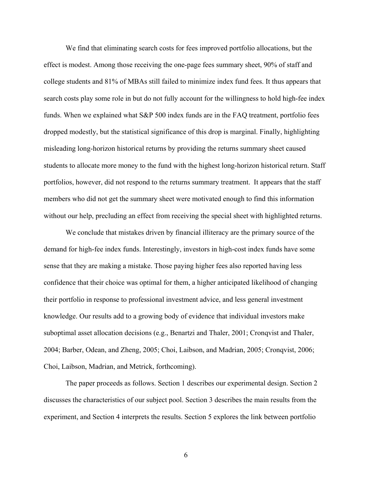We find that eliminating search costs for fees improved portfolio allocations, but the effect is modest. Among those receiving the one-page fees summary sheet, 90% of staff and college students and 81% of MBAs still failed to minimize index fund fees. It thus appears that search costs play some role in but do not fully account for the willingness to hold high-fee index funds. When we explained what S&P 500 index funds are in the FAQ treatment, portfolio fees dropped modestly, but the statistical significance of this drop is marginal. Finally, highlighting misleading long-horizon historical returns by providing the returns summary sheet caused students to allocate more money to the fund with the highest long-horizon historical return. Staff portfolios, however, did not respond to the returns summary treatment. It appears that the staff members who did not get the summary sheet were motivated enough to find this information without our help, precluding an effect from receiving the special sheet with highlighted returns.

We conclude that mistakes driven by financial illiteracy are the primary source of the demand for high-fee index funds. Interestingly, investors in high-cost index funds have some sense that they are making a mistake. Those paying higher fees also reported having less confidence that their choice was optimal for them, a higher anticipated likelihood of changing their portfolio in response to professional investment advice, and less general investment knowledge. Our results add to a growing body of evidence that individual investors make suboptimal asset allocation decisions (e.g., Benartzi and Thaler, 2001; Cronqvist and Thaler, 2004; Barber, Odean, and Zheng, 2005; Choi, Laibson, and Madrian, 2005; Cronqvist, 2006; Choi, Laibson, Madrian, and Metrick, forthcoming).

The paper proceeds as follows. Section 1 describes our experimental design. Section 2 discusses the characteristics of our subject pool. Section 3 describes the main results from the experiment, and Section 4 interprets the results. Section 5 explores the link between portfolio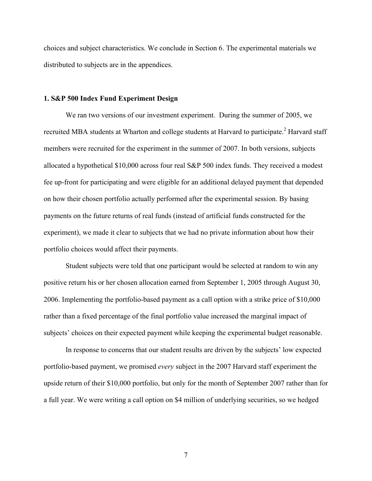choices and subject characteristics. We conclude in Section 6. The experimental materials we distributed to subjects are in the appendices.

#### **1. S&P 500 Index Fund Experiment Design**

 We ran two versions of our investment experiment. During the summer of 2005, we recruited MBA students at Wharton and college students at Harvard to participate.<sup>2</sup> Harvard staff members were recruited for the experiment in the summer of 2007. In both versions, subjects allocated a hypothetical \$10,000 across four real S&P 500 index funds. They received a modest fee up-front for participating and were eligible for an additional delayed payment that depended on how their chosen portfolio actually performed after the experimental session. By basing payments on the future returns of real funds (instead of artificial funds constructed for the experiment), we made it clear to subjects that we had no private information about how their portfolio choices would affect their payments.

 Student subjects were told that one participant would be selected at random to win any positive return his or her chosen allocation earned from September 1, 2005 through August 30, 2006. Implementing the portfolio-based payment as a call option with a strike price of \$10,000 rather than a fixed percentage of the final portfolio value increased the marginal impact of subjects' choices on their expected payment while keeping the experimental budget reasonable.

In response to concerns that our student results are driven by the subjects' low expected portfolio-based payment, we promised *every* subject in the 2007 Harvard staff experiment the upside return of their \$10,000 portfolio, but only for the month of September 2007 rather than for a full year. We were writing a call option on \$4 million of underlying securities, so we hedged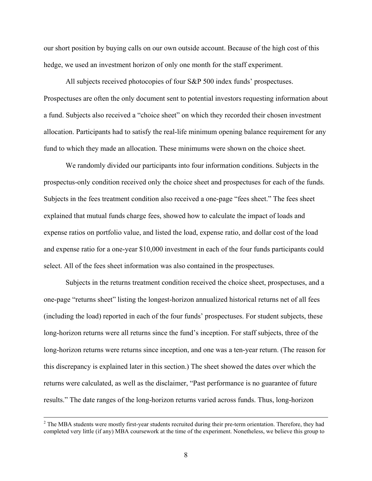our short position by buying calls on our own outside account. Because of the high cost of this hedge, we used an investment horizon of only one month for the staff experiment.

 All subjects received photocopies of four S&P 500 index funds' prospectuses. Prospectuses are often the only document sent to potential investors requesting information about a fund. Subjects also received a "choice sheet" on which they recorded their chosen investment allocation. Participants had to satisfy the real-life minimum opening balance requirement for any fund to which they made an allocation. These minimums were shown on the choice sheet.

 We randomly divided our participants into four information conditions. Subjects in the prospectus-only condition received only the choice sheet and prospectuses for each of the funds. Subjects in the fees treatment condition also received a one-page "fees sheet." The fees sheet explained that mutual funds charge fees, showed how to calculate the impact of loads and expense ratios on portfolio value, and listed the load, expense ratio, and dollar cost of the load and expense ratio for a one-year \$10,000 investment in each of the four funds participants could select. All of the fees sheet information was also contained in the prospectuses.

Subjects in the returns treatment condition received the choice sheet, prospectuses, and a one-page "returns sheet" listing the longest-horizon annualized historical returns net of all fees (including the load) reported in each of the four funds' prospectuses. For student subjects, these long-horizon returns were all returns since the fund's inception. For staff subjects, three of the long-horizon returns were returns since inception, and one was a ten-year return. (The reason for this discrepancy is explained later in this section.) The sheet showed the dates over which the returns were calculated, as well as the disclaimer, "Past performance is no guarantee of future results." The date ranges of the long-horizon returns varied across funds. Thus, long-horizon

 $\frac{1}{2}$ <sup>2</sup> The MBA students were mostly first-year students recruited during their pre-term orientation. Therefore, they had completed very little (if any) MBA coursework at the time of the experiment. Nonetheless, we believe this group to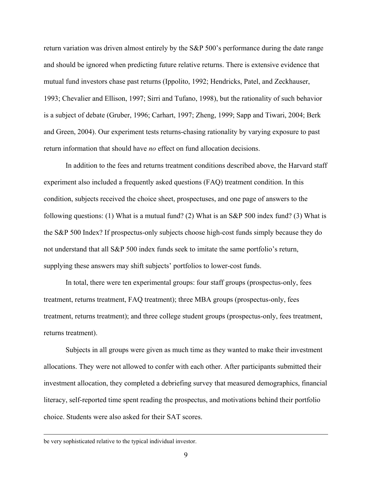return variation was driven almost entirely by the S&P 500's performance during the date range and should be ignored when predicting future relative returns. There is extensive evidence that mutual fund investors chase past returns (Ippolito, 1992; Hendricks, Patel, and Zeckhauser, 1993; Chevalier and Ellison, 1997; Sirri and Tufano, 1998), but the rationality of such behavior is a subject of debate (Gruber, 1996; Carhart, 1997; Zheng, 1999; Sapp and Tiwari, 2004; Berk and Green, 2004). Our experiment tests returns-chasing rationality by varying exposure to past return information that should have *no* effect on fund allocation decisions.

In addition to the fees and returns treatment conditions described above, the Harvard staff experiment also included a frequently asked questions (FAQ) treatment condition. In this condition, subjects received the choice sheet, prospectuses, and one page of answers to the following questions: (1) What is a mutual fund? (2) What is an S&P 500 index fund? (3) What is the S&P 500 Index? If prospectus-only subjects choose high-cost funds simply because they do not understand that all S&P 500 index funds seek to imitate the same portfolio's return, supplying these answers may shift subjects' portfolios to lower-cost funds.

In total, there were ten experimental groups: four staff groups (prospectus-only, fees treatment, returns treatment, FAQ treatment); three MBA groups (prospectus-only, fees treatment, returns treatment); and three college student groups (prospectus-only, fees treatment, returns treatment).

Subjects in all groups were given as much time as they wanted to make their investment allocations. They were not allowed to confer with each other. After participants submitted their investment allocation, they completed a debriefing survey that measured demographics, financial literacy, self-reported time spent reading the prospectus, and motivations behind their portfolio choice. Students were also asked for their SAT scores.

be very sophisticated relative to the typical individual investor.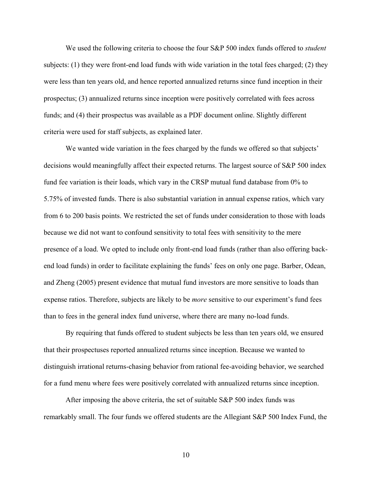We used the following criteria to choose the four S&P 500 index funds offered to *student* subjects: (1) they were front-end load funds with wide variation in the total fees charged; (2) they were less than ten years old, and hence reported annualized returns since fund inception in their prospectus; (3) annualized returns since inception were positively correlated with fees across funds; and (4) their prospectus was available as a PDF document online. Slightly different criteria were used for staff subjects, as explained later.

We wanted wide variation in the fees charged by the funds we offered so that subjects' decisions would meaningfully affect their expected returns. The largest source of S&P 500 index fund fee variation is their loads, which vary in the CRSP mutual fund database from 0% to 5.75% of invested funds. There is also substantial variation in annual expense ratios, which vary from 6 to 200 basis points. We restricted the set of funds under consideration to those with loads because we did not want to confound sensitivity to total fees with sensitivity to the mere presence of a load. We opted to include only front-end load funds (rather than also offering backend load funds) in order to facilitate explaining the funds' fees on only one page. Barber, Odean, and Zheng (2005) present evidence that mutual fund investors are more sensitive to loads than expense ratios. Therefore, subjects are likely to be *more* sensitive to our experiment's fund fees than to fees in the general index fund universe, where there are many no-load funds.

 By requiring that funds offered to student subjects be less than ten years old, we ensured that their prospectuses reported annualized returns since inception. Because we wanted to distinguish irrational returns-chasing behavior from rational fee-avoiding behavior, we searched for a fund menu where fees were positively correlated with annualized returns since inception.

After imposing the above criteria, the set of suitable S&P 500 index funds was remarkably small. The four funds we offered students are the Allegiant S&P 500 Index Fund, the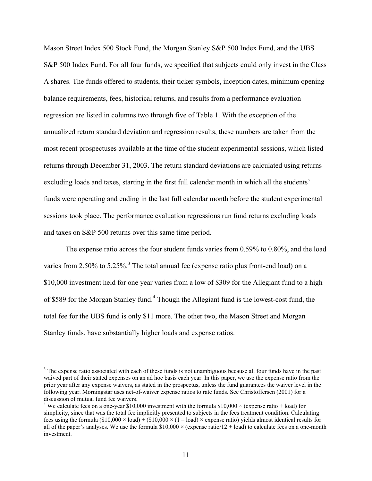Mason Street Index 500 Stock Fund, the Morgan Stanley S&P 500 Index Fund, and the UBS S&P 500 Index Fund. For all four funds, we specified that subjects could only invest in the Class A shares. The funds offered to students, their ticker symbols, inception dates, minimum opening balance requirements, fees, historical returns, and results from a performance evaluation regression are listed in columns two through five of Table 1. With the exception of the annualized return standard deviation and regression results, these numbers are taken from the most recent prospectuses available at the time of the student experimental sessions, which listed returns through December 31, 2003. The return standard deviations are calculated using returns excluding loads and taxes, starting in the first full calendar month in which all the students' funds were operating and ending in the last full calendar month before the student experimental sessions took place. The performance evaluation regressions run fund returns excluding loads and taxes on S&P 500 returns over this same time period.

The expense ratio across the four student funds varies from 0.59% to 0.80%, and the load varies from 2.50% to 5.25%.<sup>3</sup> The total annual fee (expense ratio plus front-end load) on a \$10,000 investment held for one year varies from a low of \$309 for the Allegiant fund to a high of \$589 for the Morgan Stanley fund.<sup>4</sup> Though the Allegiant fund is the lowest-cost fund, the total fee for the UBS fund is only \$11 more. The other two, the Mason Street and Morgan Stanley funds, have substantially higher loads and expense ratios.

 $\overline{a}$ 

 $3$  The expense ratio associated with each of these funds is not unambiguous because all four funds have in the past waived part of their stated expenses on an ad hoc basis each year. In this paper, we use the expense ratio from the prior year after any expense waivers, as stated in the prospectus, unless the fund guarantees the waiver level in the following year. Morningstar uses net-of-waiver expense ratios to rate funds. See Christoffersen (2001) for a discussion of mutual fund fee waivers. 4

<sup>&</sup>lt;sup>4</sup> We calculate fees on a one-year \$10,000 investment with the formula \$10,000  $\times$  (expense ratio + load) for simplicity, since that was the total fee implicitly presented to subjects in the fees treatment condition. Calculating fees using the formula  $(\$10,000 \times load) + (\$10,000 \times (1 - load) \times expense$  ratio) yields almost identical results for all of the paper's analyses. We use the formula  $$10,000 \times (expense ratio/12 + load)$  to calculate fees on a one-month investment.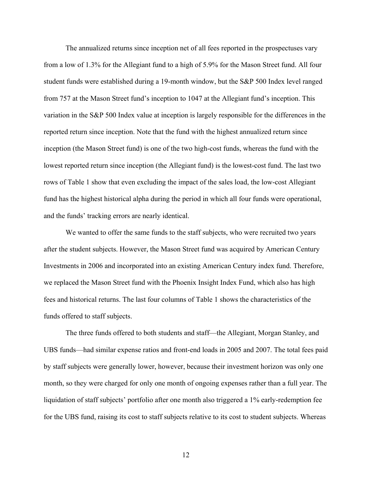The annualized returns since inception net of all fees reported in the prospectuses vary from a low of 1.3% for the Allegiant fund to a high of 5.9% for the Mason Street fund. All four student funds were established during a 19-month window, but the S&P 500 Index level ranged from 757 at the Mason Street fund's inception to 1047 at the Allegiant fund's inception. This variation in the S&P 500 Index value at inception is largely responsible for the differences in the reported return since inception. Note that the fund with the highest annualized return since inception (the Mason Street fund) is one of the two high-cost funds, whereas the fund with the lowest reported return since inception (the Allegiant fund) is the lowest-cost fund. The last two rows of Table 1 show that even excluding the impact of the sales load, the low-cost Allegiant fund has the highest historical alpha during the period in which all four funds were operational, and the funds' tracking errors are nearly identical.

We wanted to offer the same funds to the staff subjects, who were recruited two years after the student subjects. However, the Mason Street fund was acquired by American Century Investments in 2006 and incorporated into an existing American Century index fund. Therefore, we replaced the Mason Street fund with the Phoenix Insight Index Fund, which also has high fees and historical returns. The last four columns of Table 1 shows the characteristics of the funds offered to staff subjects.

The three funds offered to both students and staff—the Allegiant, Morgan Stanley, and UBS funds—had similar expense ratios and front-end loads in 2005 and 2007. The total fees paid by staff subjects were generally lower, however, because their investment horizon was only one month, so they were charged for only one month of ongoing expenses rather than a full year. The liquidation of staff subjects' portfolio after one month also triggered a 1% early-redemption fee for the UBS fund, raising its cost to staff subjects relative to its cost to student subjects. Whereas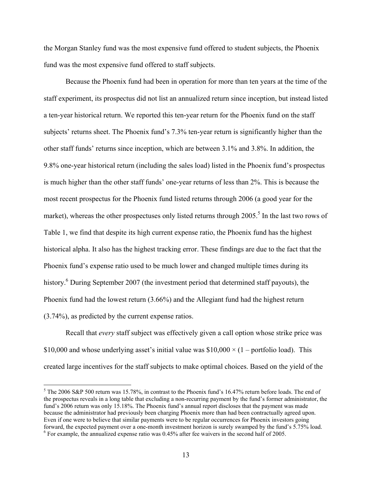the Morgan Stanley fund was the most expensive fund offered to student subjects, the Phoenix fund was the most expensive fund offered to staff subjects.

Because the Phoenix fund had been in operation for more than ten years at the time of the staff experiment, its prospectus did not list an annualized return since inception, but instead listed a ten-year historical return. We reported this ten-year return for the Phoenix fund on the staff subjects' returns sheet. The Phoenix fund's 7.3% ten-year return is significantly higher than the other staff funds' returns since inception, which are between 3.1% and 3.8%. In addition, the 9.8% one-year historical return (including the sales load) listed in the Phoenix fund's prospectus is much higher than the other staff funds' one-year returns of less than 2%. This is because the most recent prospectus for the Phoenix fund listed returns through 2006 (a good year for the market), whereas the other prospectuses only listed returns through 2005.<sup>5</sup> In the last two rows of Table 1, we find that despite its high current expense ratio, the Phoenix fund has the highest historical alpha. It also has the highest tracking error. These findings are due to the fact that the Phoenix fund's expense ratio used to be much lower and changed multiple times during its history.<sup>6</sup> During September 2007 (the investment period that determined staff payouts), the Phoenix fund had the lowest return (3.66%) and the Allegiant fund had the highest return (3.74%), as predicted by the current expense ratios.

Recall that *every* staff subject was effectively given a call option whose strike price was \$10,000 and whose underlying asset's initial value was \$10,000  $\times$  (1 – portfolio load). This created large incentives for the staff subjects to make optimal choices. Based on the yield of the

 $\overline{a}$ 

<sup>&</sup>lt;sup>5</sup> The 2006 S&P 500 return was 15.78%, in contrast to the Phoenix fund's 16.47% return before loads. The end of the prospectus reveals in a long table that excluding a non-recurring payment by the fund's former administrator, the fund's 2006 return was only 15.18%. The Phoenix fund's annual report discloses that the payment was made because the administrator had previously been charging Phoenix more than had been contractually agreed upon. Even if one were to believe that similar payments were to be regular occurrences for Phoenix investors going forward, the expected payment over a one-month investment horizon is surely swamped by the fund's 5.75% load.  $6$  For example, the annualized expense ratio was 0.45% after fee waivers in the second half of 2005.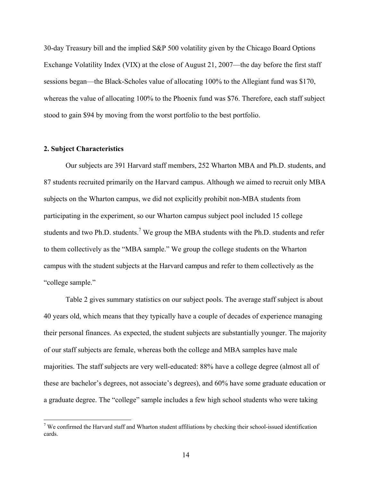30-day Treasury bill and the implied S&P 500 volatility given by the Chicago Board Options Exchange Volatility Index (VIX) at the close of August 21, 2007—the day before the first staff sessions began—the Black-Scholes value of allocating 100% to the Allegiant fund was \$170, whereas the value of allocating 100% to the Phoenix fund was \$76. Therefore, each staff subject stood to gain \$94 by moving from the worst portfolio to the best portfolio.

#### **2. Subject Characteristics**

 $\overline{a}$ 

 Our subjects are 391 Harvard staff members, 252 Wharton MBA and Ph.D. students, and 87 students recruited primarily on the Harvard campus. Although we aimed to recruit only MBA subjects on the Wharton campus, we did not explicitly prohibit non-MBA students from participating in the experiment, so our Wharton campus subject pool included 15 college students and two Ph.D. students.<sup>7</sup> We group the MBA students with the Ph.D. students and refer to them collectively as the "MBA sample." We group the college students on the Wharton campus with the student subjects at the Harvard campus and refer to them collectively as the "college sample."

 Table 2 gives summary statistics on our subject pools. The average staff subject is about 40 years old, which means that they typically have a couple of decades of experience managing their personal finances. As expected, the student subjects are substantially younger. The majority of our staff subjects are female, whereas both the college and MBA samples have male majorities. The staff subjects are very well-educated: 88% have a college degree (almost all of these are bachelor's degrees, not associate's degrees), and 60% have some graduate education or a graduate degree. The "college" sample includes a few high school students who were taking

 $7$  We confirmed the Harvard staff and Wharton student affiliations by checking their school-issued identification cards.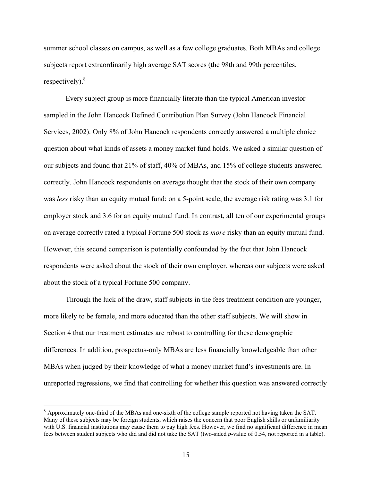summer school classes on campus, as well as a few college graduates. Both MBAs and college subjects report extraordinarily high average SAT scores (the 98th and 99th percentiles, respectively) $8$ 

Every subject group is more financially literate than the typical American investor sampled in the John Hancock Defined Contribution Plan Survey (John Hancock Financial Services, 2002). Only 8% of John Hancock respondents correctly answered a multiple choice question about what kinds of assets a money market fund holds. We asked a similar question of our subjects and found that 21% of staff, 40% of MBAs, and 15% of college students answered correctly. John Hancock respondents on average thought that the stock of their own company was *less* risky than an equity mutual fund; on a 5-point scale, the average risk rating was 3.1 for employer stock and 3.6 for an equity mutual fund. In contrast, all ten of our experimental groups on average correctly rated a typical Fortune 500 stock as *more* risky than an equity mutual fund. However, this second comparison is potentially confounded by the fact that John Hancock respondents were asked about the stock of their own employer, whereas our subjects were asked about the stock of a typical Fortune 500 company.

Through the luck of the draw, staff subjects in the fees treatment condition are younger, more likely to be female, and more educated than the other staff subjects. We will show in Section 4 that our treatment estimates are robust to controlling for these demographic differences. In addition, prospectus-only MBAs are less financially knowledgeable than other MBAs when judged by their knowledge of what a money market fund's investments are. In unreported regressions, we find that controlling for whether this question was answered correctly

 $\overline{a}$ 

<sup>&</sup>lt;sup>8</sup> Approximately one-third of the MBAs and one-sixth of the college sample reported not having taken the SAT. Many of these subjects may be foreign students, which raises the concern that poor English skills or unfamiliarity with U.S. financial institutions may cause them to pay high fees. However, we find no significant difference in mean fees between student subjects who did and did not take the SAT (two-sided *p*-value of 0.54, not reported in a table).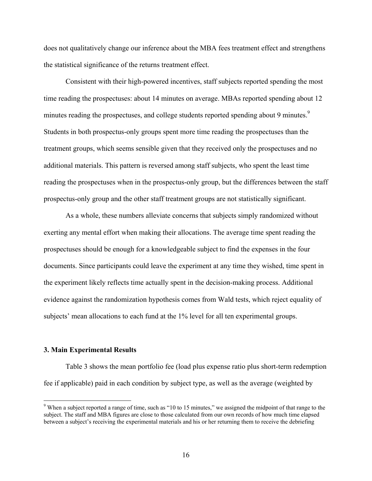does not qualitatively change our inference about the MBA fees treatment effect and strengthens the statistical significance of the returns treatment effect.

Consistent with their high-powered incentives, staff subjects reported spending the most time reading the prospectuses: about 14 minutes on average. MBAs reported spending about 12 minutes reading the prospectuses, and college students reported spending about 9 minutes.<sup>9</sup> Students in both prospectus-only groups spent more time reading the prospectuses than the treatment groups, which seems sensible given that they received only the prospectuses and no additional materials. This pattern is reversed among staff subjects, who spent the least time reading the prospectuses when in the prospectus-only group, but the differences between the staff prospectus-only group and the other staff treatment groups are not statistically significant.

As a whole, these numbers alleviate concerns that subjects simply randomized without exerting any mental effort when making their allocations. The average time spent reading the prospectuses should be enough for a knowledgeable subject to find the expenses in the four documents. Since participants could leave the experiment at any time they wished, time spent in the experiment likely reflects time actually spent in the decision-making process. Additional evidence against the randomization hypothesis comes from Wald tests, which reject equality of subjects' mean allocations to each fund at the 1% level for all ten experimental groups.

### **3. Main Experimental Results**

<u>.</u>

 Table 3 shows the mean portfolio fee (load plus expense ratio plus short-term redemption fee if applicable) paid in each condition by subject type, as well as the average (weighted by

<sup>&</sup>lt;sup>9</sup> When a subject reported a range of time, such as "10 to 15 minutes," we assigned the midpoint of that range to the subject. The staff and MBA figures are close to those calculated from our own records of how much time elapsed between a subject's receiving the experimental materials and his or her returning them to receive the debriefing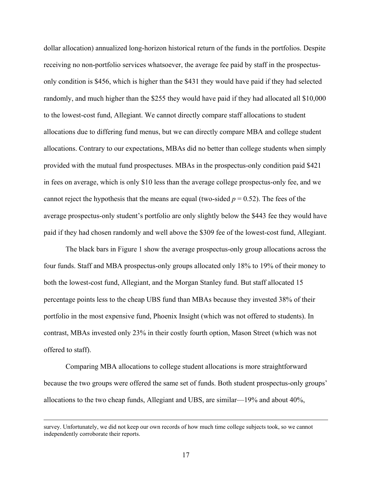dollar allocation) annualized long-horizon historical return of the funds in the portfolios. Despite receiving no non-portfolio services whatsoever, the average fee paid by staff in the prospectusonly condition is \$456, which is higher than the \$431 they would have paid if they had selected randomly, and much higher than the \$255 they would have paid if they had allocated all \$10,000 to the lowest-cost fund, Allegiant. We cannot directly compare staff allocations to student allocations due to differing fund menus, but we can directly compare MBA and college student allocations. Contrary to our expectations, MBAs did no better than college students when simply provided with the mutual fund prospectuses. MBAs in the prospectus-only condition paid \$421 in fees on average, which is only \$10 less than the average college prospectus-only fee, and we cannot reject the hypothesis that the means are equal (two-sided  $p = 0.52$ ). The fees of the average prospectus-only student's portfolio are only slightly below the \$443 fee they would have paid if they had chosen randomly and well above the \$309 fee of the lowest-cost fund, Allegiant.

The black bars in Figure 1 show the average prospectus-only group allocations across the four funds. Staff and MBA prospectus-only groups allocated only 18% to 19% of their money to both the lowest-cost fund, Allegiant, and the Morgan Stanley fund. But staff allocated 15 percentage points less to the cheap UBS fund than MBAs because they invested 38% of their portfolio in the most expensive fund, Phoenix Insight (which was not offered to students). In contrast, MBAs invested only 23% in their costly fourth option, Mason Street (which was not offered to staff).

Comparing MBA allocations to college student allocations is more straightforward because the two groups were offered the same set of funds. Both student prospectus-only groups' allocations to the two cheap funds, Allegiant and UBS, are similar—19% and about 40%,

survey. Unfortunately, we did not keep our own records of how much time college subjects took, so we cannot independently corroborate their reports.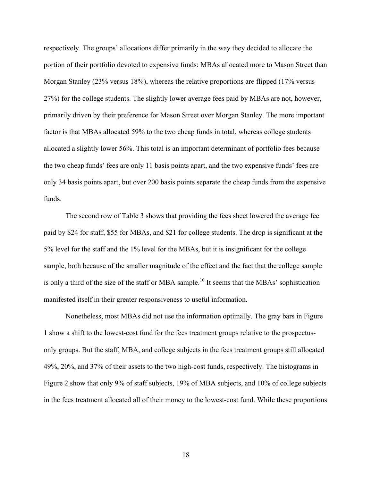respectively. The groups' allocations differ primarily in the way they decided to allocate the portion of their portfolio devoted to expensive funds: MBAs allocated more to Mason Street than Morgan Stanley (23% versus 18%), whereas the relative proportions are flipped (17% versus 27%) for the college students. The slightly lower average fees paid by MBAs are not, however, primarily driven by their preference for Mason Street over Morgan Stanley. The more important factor is that MBAs allocated 59% to the two cheap funds in total, whereas college students allocated a slightly lower 56%. This total is an important determinant of portfolio fees because the two cheap funds' fees are only 11 basis points apart, and the two expensive funds' fees are only 34 basis points apart, but over 200 basis points separate the cheap funds from the expensive funds.

 The second row of Table 3 shows that providing the fees sheet lowered the average fee paid by \$24 for staff, \$55 for MBAs, and \$21 for college students. The drop is significant at the 5% level for the staff and the 1% level for the MBAs, but it is insignificant for the college sample, both because of the smaller magnitude of the effect and the fact that the college sample is only a third of the size of the staff or MBA sample.<sup>10</sup> It seems that the MBAs' sophistication manifested itself in their greater responsiveness to useful information.

Nonetheless, most MBAs did not use the information optimally. The gray bars in Figure 1 show a shift to the lowest-cost fund for the fees treatment groups relative to the prospectusonly groups. But the staff, MBA, and college subjects in the fees treatment groups still allocated 49%, 20%, and 37% of their assets to the two high-cost funds, respectively. The histograms in Figure 2 show that only 9% of staff subjects, 19% of MBA subjects, and 10% of college subjects in the fees treatment allocated all of their money to the lowest-cost fund. While these proportions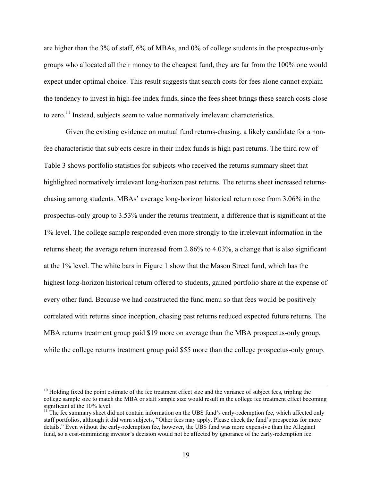are higher than the 3% of staff, 6% of MBAs, and 0% of college students in the prospectus-only groups who allocated all their money to the cheapest fund, they are far from the 100% one would expect under optimal choice. This result suggests that search costs for fees alone cannot explain the tendency to invest in high-fee index funds, since the fees sheet brings these search costs close to zero.<sup>11</sup> Instead, subjects seem to value normatively irrelevant characteristics.

 Given the existing evidence on mutual fund returns-chasing, a likely candidate for a nonfee characteristic that subjects desire in their index funds is high past returns. The third row of Table 3 shows portfolio statistics for subjects who received the returns summary sheet that highlighted normatively irrelevant long-horizon past returns. The returns sheet increased returnschasing among students. MBAs' average long-horizon historical return rose from 3.06% in the prospectus-only group to 3.53% under the returns treatment, a difference that is significant at the 1% level. The college sample responded even more strongly to the irrelevant information in the returns sheet; the average return increased from 2.86% to 4.03%, a change that is also significant at the 1% level. The white bars in Figure 1 show that the Mason Street fund, which has the highest long-horizon historical return offered to students, gained portfolio share at the expense of every other fund. Because we had constructed the fund menu so that fees would be positively correlated with returns since inception, chasing past returns reduced expected future returns. The MBA returns treatment group paid \$19 more on average than the MBA prospectus-only group, while the college returns treatment group paid \$55 more than the college prospectus-only group.

 $10$  Holding fixed the point estimate of the fee treatment effect size and the variance of subject fees, tripling the college sample size to match the MBA or staff sample size would result in the college fee treatment effect becoming significant at the 10% level.

<sup>&</sup>lt;sup>11</sup> The fee summary sheet did not contain information on the UBS fund's early-redemption fee, which affected only staff portfolios, although it did warn subjects, "Other fees may apply. Please check the fund's prospectus for more details." Even without the early-redemption fee, however, the UBS fund was more expensive than the Allegiant fund, so a cost-minimizing investor's decision would not be affected by ignorance of the early-redemption fee.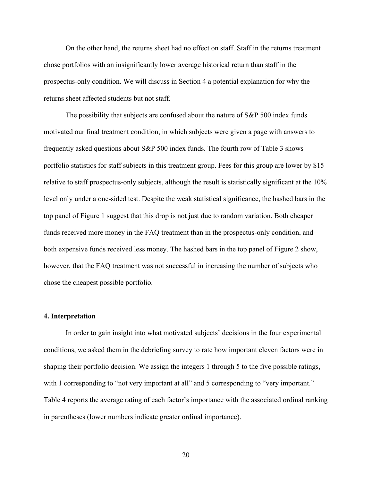On the other hand, the returns sheet had no effect on staff. Staff in the returns treatment chose portfolios with an insignificantly lower average historical return than staff in the prospectus-only condition. We will discuss in Section 4 a potential explanation for why the returns sheet affected students but not staff.

 The possibility that subjects are confused about the nature of S&P 500 index funds motivated our final treatment condition, in which subjects were given a page with answers to frequently asked questions about S&P 500 index funds. The fourth row of Table 3 shows portfolio statistics for staff subjects in this treatment group. Fees for this group are lower by \$15 relative to staff prospectus-only subjects, although the result is statistically significant at the 10% level only under a one-sided test. Despite the weak statistical significance, the hashed bars in the top panel of Figure 1 suggest that this drop is not just due to random variation. Both cheaper funds received more money in the FAQ treatment than in the prospectus-only condition, and both expensive funds received less money. The hashed bars in the top panel of Figure 2 show, however, that the FAQ treatment was not successful in increasing the number of subjects who chose the cheapest possible portfolio.

#### **4. Interpretation**

 In order to gain insight into what motivated subjects' decisions in the four experimental conditions, we asked them in the debriefing survey to rate how important eleven factors were in shaping their portfolio decision. We assign the integers 1 through 5 to the five possible ratings, with 1 corresponding to "not very important at all" and 5 corresponding to "very important." Table 4 reports the average rating of each factor's importance with the associated ordinal ranking in parentheses (lower numbers indicate greater ordinal importance).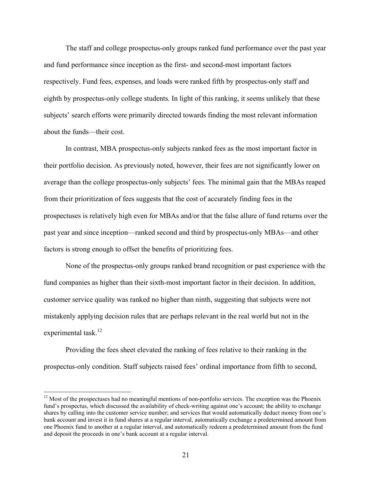The staff and college prospectus-only groups ranked fund performance over the past year and fund performance since inception as the first- and second-most important factors respectively. Fund fees, expenses, and loads were ranked fifth by prospectus-only staff and eighth by prospectus-only college students. In light of this ranking, it seems unlikely that these subjects' search efforts were primarily directed towards finding the most relevant information about the funds—their cost.

In contrast, MBA prospectus-only subjects ranked fees as the most important factor in their portfolio decision. As previously noted, however, their fees are not significantly lower on average than the college prospectus-only subjects' fees. The minimal gain that the MBAs reaped from their prioritization of fees suggests that the cost of accurately finding fees in the prospectuses is relatively high even for MBAs and/or that the false allure of fund returns over the past year and since inception—ranked second and third by prospectus-only MBAs—and other factors is strong enough to offset the benefits of prioritizing fees.

None of the prospectus-only groups ranked brand recognition or past experience with the fund companies as higher than their sixth-most important factor in their decision. In addition, customer service quality was ranked no higher than ninth, suggesting that subjects were not mistakenly applying decision rules that are perhaps relevant in the real world but not in the experimental task. $12$ 

Providing the fees sheet elevated the ranking of fees relative to their ranking in the prospectus-only condition. Staff subjects raised fees' ordinal importance from fifth to second,

 $\overline{a}$ 

 $12$  Most of the prospectuses had no meaningful mentions of non-portfolio services. The exception was the Phoenix fund's prospectus, which discussed the availability of check-writing against one's account; the ability to exchange shares by calling into the customer service number; and services that would automatically deduct money from one's bank account and invest it in fund shares at a regular interval, automatically exchange a predetermined amount from one Phoenix fund to another at a regular interval, and automatically redeem a predetermined amount from the fund and deposit the proceeds in one's bank account at a regular interval.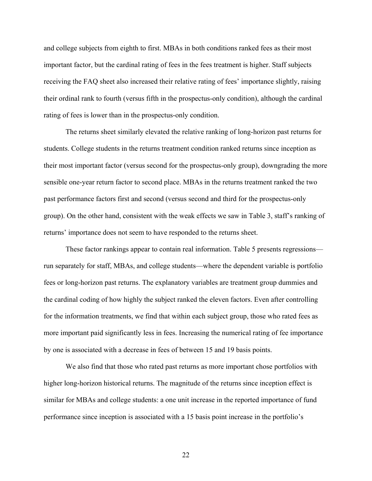and college subjects from eighth to first. MBAs in both conditions ranked fees as their most important factor, but the cardinal rating of fees in the fees treatment is higher. Staff subjects receiving the FAQ sheet also increased their relative rating of fees' importance slightly, raising their ordinal rank to fourth (versus fifth in the prospectus-only condition), although the cardinal rating of fees is lower than in the prospectus-only condition.

The returns sheet similarly elevated the relative ranking of long-horizon past returns for students. College students in the returns treatment condition ranked returns since inception as their most important factor (versus second for the prospectus-only group), downgrading the more sensible one-year return factor to second place. MBAs in the returns treatment ranked the two past performance factors first and second (versus second and third for the prospectus-only group). On the other hand, consistent with the weak effects we saw in Table 3, staff's ranking of returns' importance does not seem to have responded to the returns sheet.

 These factor rankings appear to contain real information. Table 5 presents regressions run separately for staff, MBAs, and college students—where the dependent variable is portfolio fees or long-horizon past returns. The explanatory variables are treatment group dummies and the cardinal coding of how highly the subject ranked the eleven factors. Even after controlling for the information treatments, we find that within each subject group, those who rated fees as more important paid significantly less in fees. Increasing the numerical rating of fee importance by one is associated with a decrease in fees of between 15 and 19 basis points.

We also find that those who rated past returns as more important chose portfolios with higher long-horizon historical returns. The magnitude of the returns since inception effect is similar for MBAs and college students: a one unit increase in the reported importance of fund performance since inception is associated with a 15 basis point increase in the portfolio's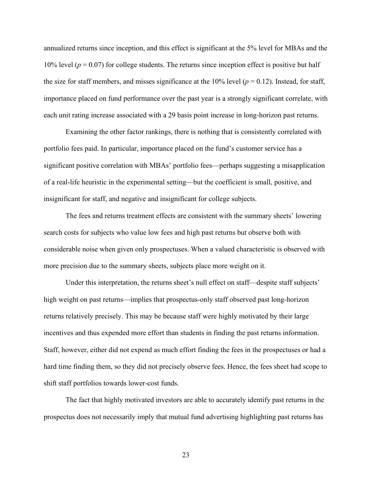annualized returns since inception, and this effect is significant at the 5% level for MBAs and the 10% level ( $p = 0.07$ ) for college students. The returns since inception effect is positive but half the size for staff members, and misses significance at the 10% level ( $p = 0.12$ ). Instead, for staff, importance placed on fund performance over the past year is a strongly significant correlate, with each unit rating increase associated with a 29 basis point increase in long-horizon past returns.

Examining the other factor rankings, there is nothing that is consistently correlated with portfolio fees paid. In particular, importance placed on the fund's customer service has a significant positive correlation with MBAs' portfolio fees—perhaps suggesting a misapplication of a real-life heuristic in the experimental setting—but the coefficient is small, positive, and insignificant for staff, and negative and insignificant for college subjects.

The fees and returns treatment effects are consistent with the summary sheets' lowering search costs for subjects who value low fees and high past returns but observe both with considerable noise when given only prospectuses. When a valued characteristic is observed with more precision due to the summary sheets, subjects place more weight on it.

Under this interpretation, the returns sheet's null effect on staff—despite staff subjects' high weight on past returns—implies that prospectus-only staff observed past long-horizon returns relatively precisely. This may be because staff were highly motivated by their large incentives and thus expended more effort than students in finding the past returns information. Staff, however, either did not expend as much effort finding the fees in the prospectuses or had a hard time finding them, so they did not precisely observe fees. Hence, the fees sheet had scope to shift staff portfolios towards lower-cost funds.

The fact that highly motivated investors are able to accurately identify past returns in the prospectus does not necessarily imply that mutual fund advertising highlighting past returns has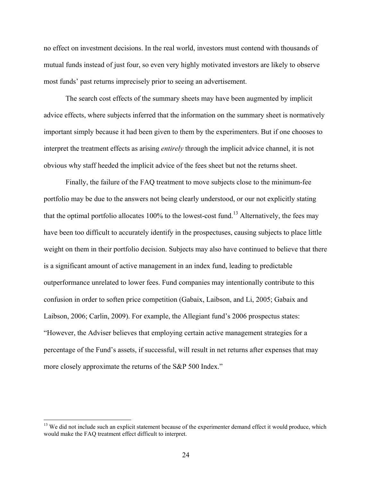no effect on investment decisions. In the real world, investors must contend with thousands of mutual funds instead of just four, so even very highly motivated investors are likely to observe most funds' past returns imprecisely prior to seeing an advertisement.

The search cost effects of the summary sheets may have been augmented by implicit advice effects, where subjects inferred that the information on the summary sheet is normatively important simply because it had been given to them by the experimenters. But if one chooses to interpret the treatment effects as arising *entirely* through the implicit advice channel, it is not obvious why staff heeded the implicit advice of the fees sheet but not the returns sheet.

Finally, the failure of the FAQ treatment to move subjects close to the minimum-fee portfolio may be due to the answers not being clearly understood, or our not explicitly stating that the optimal portfolio allocates  $100\%$  to the lowest-cost fund.<sup>13</sup> Alternatively, the fees may have been too difficult to accurately identify in the prospectuses, causing subjects to place little weight on them in their portfolio decision. Subjects may also have continued to believe that there is a significant amount of active management in an index fund, leading to predictable outperformance unrelated to lower fees. Fund companies may intentionally contribute to this confusion in order to soften price competition (Gabaix, Laibson, and Li, 2005; Gabaix and Laibson, 2006; Carlin, 2009). For example, the Allegiant fund's 2006 prospectus states: "However, the Adviser believes that employing certain active management strategies for a percentage of the Fund's assets, if successful, will result in net returns after expenses that may more closely approximate the returns of the S&P 500 Index."

 $\overline{a}$ 

<sup>&</sup>lt;sup>13</sup> We did not include such an explicit statement because of the experimenter demand effect it would produce, which would make the FAQ treatment effect difficult to interpret.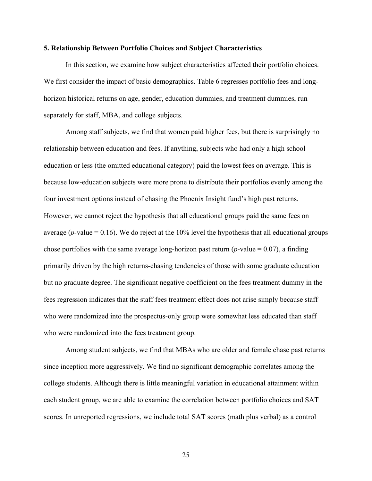#### **5. Relationship Between Portfolio Choices and Subject Characteristics**

 In this section, we examine how subject characteristics affected their portfolio choices. We first consider the impact of basic demographics. Table 6 regresses portfolio fees and longhorizon historical returns on age, gender, education dummies, and treatment dummies, run separately for staff, MBA, and college subjects.

Among staff subjects, we find that women paid higher fees, but there is surprisingly no relationship between education and fees. If anything, subjects who had only a high school education or less (the omitted educational category) paid the lowest fees on average. This is because low-education subjects were more prone to distribute their portfolios evenly among the four investment options instead of chasing the Phoenix Insight fund's high past returns. However, we cannot reject the hypothesis that all educational groups paid the same fees on average ( $p$ -value = 0.16). We do reject at the 10% level the hypothesis that all educational groups chose portfolios with the same average long-horizon past return ( $p$ -value = 0.07), a finding primarily driven by the high returns-chasing tendencies of those with some graduate education but no graduate degree. The significant negative coefficient on the fees treatment dummy in the fees regression indicates that the staff fees treatment effect does not arise simply because staff who were randomized into the prospectus-only group were somewhat less educated than staff who were randomized into the fees treatment group.

Among student subjects, we find that MBAs who are older and female chase past returns since inception more aggressively. We find no significant demographic correlates among the college students. Although there is little meaningful variation in educational attainment within each student group, we are able to examine the correlation between portfolio choices and SAT scores. In unreported regressions, we include total SAT scores (math plus verbal) as a control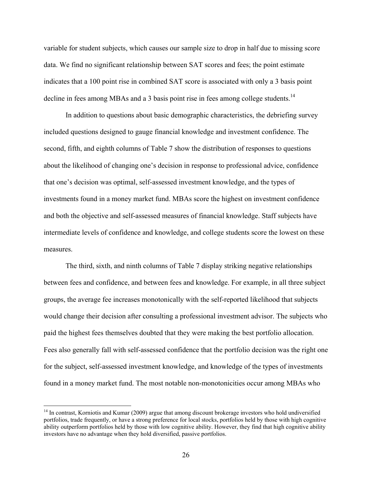variable for student subjects, which causes our sample size to drop in half due to missing score data. We find no significant relationship between SAT scores and fees; the point estimate indicates that a 100 point rise in combined SAT score is associated with only a 3 basis point decline in fees among MBAs and a 3 basis point rise in fees among college students.<sup>14</sup>

 In addition to questions about basic demographic characteristics, the debriefing survey included questions designed to gauge financial knowledge and investment confidence. The second, fifth, and eighth columns of Table 7 show the distribution of responses to questions about the likelihood of changing one's decision in response to professional advice, confidence that one's decision was optimal, self-assessed investment knowledge, and the types of investments found in a money market fund. MBAs score the highest on investment confidence and both the objective and self-assessed measures of financial knowledge. Staff subjects have intermediate levels of confidence and knowledge, and college students score the lowest on these measures.

 The third, sixth, and ninth columns of Table 7 display striking negative relationships between fees and confidence, and between fees and knowledge. For example, in all three subject groups, the average fee increases monotonically with the self-reported likelihood that subjects would change their decision after consulting a professional investment advisor. The subjects who paid the highest fees themselves doubted that they were making the best portfolio allocation. Fees also generally fall with self-assessed confidence that the portfolio decision was the right one for the subject, self-assessed investment knowledge, and knowledge of the types of investments found in a money market fund. The most notable non-monotonicities occur among MBAs who

 $\overline{a}$ 

<sup>&</sup>lt;sup>14</sup> In contrast, Korniotis and Kumar (2009) argue that among discount brokerage investors who hold undiversified portfolios, trade frequently, or have a strong preference for local stocks, portfolios held by those with high cognitive ability outperform portfolios held by those with low cognitive ability. However, they find that high cognitive ability investors have no advantage when they hold diversified, passive portfolios.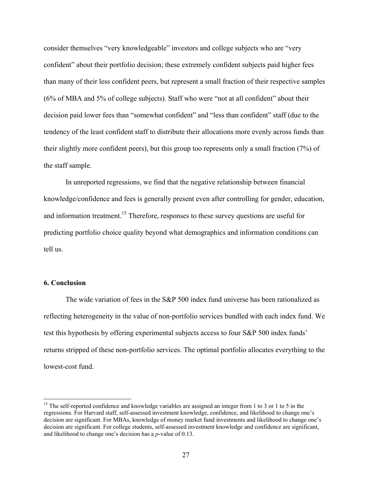consider themselves "very knowledgeable" investors and college subjects who are "very confident" about their portfolio decision; these extremely confident subjects paid higher fees than many of their less confident peers, but represent a small fraction of their respective samples (6% of MBA and 5% of college subjects). Staff who were "not at all confident" about their decision paid lower fees than "somewhat confident" and "less than confident" staff (due to the tendency of the least confident staff to distribute their allocations more evenly across funds than their slightly more confident peers), but this group too represents only a small fraction (7%) of the staff sample.

In unreported regressions, we find that the negative relationship between financial knowledge/confidence and fees is generally present even after controlling for gender, education, and information treatment.<sup>15</sup> Therefore, responses to these survey questions are useful for predicting portfolio choice quality beyond what demographics and information conditions can tell us.

#### **6. Conclusion**

 $\overline{a}$ 

The wide variation of fees in the S&P 500 index fund universe has been rationalized as reflecting heterogeneity in the value of non-portfolio services bundled with each index fund. We test this hypothesis by offering experimental subjects access to four S&P 500 index funds' returns stripped of these non-portfolio services. The optimal portfolio allocates everything to the lowest-cost fund.

<sup>&</sup>lt;sup>15</sup> The self-reported confidence and knowledge variables are assigned an integer from 1 to 3 or 1 to 5 in the regressions. For Harvard staff, self-assessed investment knowledge, confidence, and likelihood to change one's decision are significant. For MBAs, knowledge of money market fund investments and likelihood to change one's decision are significant. For college students, self-assessed investment knowledge and confidence are significant, and likelihood to change one's decision has a *p*-value of 0.13.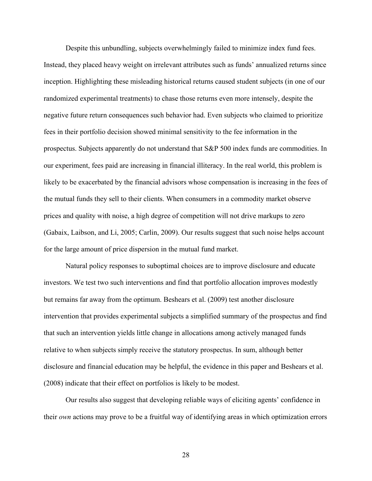Despite this unbundling, subjects overwhelmingly failed to minimize index fund fees. Instead, they placed heavy weight on irrelevant attributes such as funds' annualized returns since inception. Highlighting these misleading historical returns caused student subjects (in one of our randomized experimental treatments) to chase those returns even more intensely, despite the negative future return consequences such behavior had. Even subjects who claimed to prioritize fees in their portfolio decision showed minimal sensitivity to the fee information in the prospectus. Subjects apparently do not understand that S&P 500 index funds are commodities. In our experiment, fees paid are increasing in financial illiteracy. In the real world, this problem is likely to be exacerbated by the financial advisors whose compensation is increasing in the fees of the mutual funds they sell to their clients. When consumers in a commodity market observe prices and quality with noise, a high degree of competition will not drive markups to zero (Gabaix, Laibson, and Li, 2005; Carlin, 2009). Our results suggest that such noise helps account for the large amount of price dispersion in the mutual fund market.

 Natural policy responses to suboptimal choices are to improve disclosure and educate investors. We test two such interventions and find that portfolio allocation improves modestly but remains far away from the optimum. Beshears et al. (2009) test another disclosure intervention that provides experimental subjects a simplified summary of the prospectus and find that such an intervention yields little change in allocations among actively managed funds relative to when subjects simply receive the statutory prospectus. In sum, although better disclosure and financial education may be helpful, the evidence in this paper and Beshears et al. (2008) indicate that their effect on portfolios is likely to be modest.

Our results also suggest that developing reliable ways of eliciting agents' confidence in their *own* actions may prove to be a fruitful way of identifying areas in which optimization errors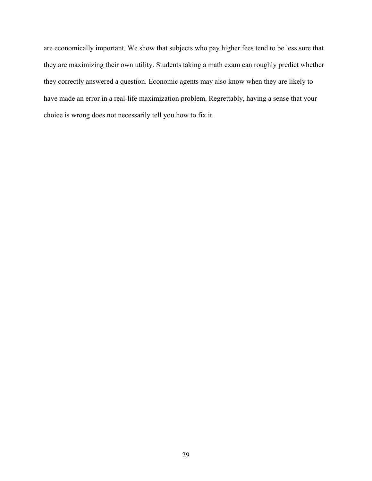are economically important. We show that subjects who pay higher fees tend to be less sure that they are maximizing their own utility. Students taking a math exam can roughly predict whether they correctly answered a question. Economic agents may also know when they are likely to have made an error in a real-life maximization problem. Regrettably, having a sense that your choice is wrong does not necessarily tell you how to fix it.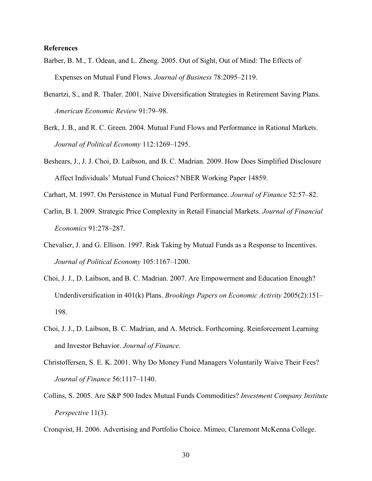#### **References**

- Barber, B. M., T. Odean, and L. Zheng. 2005. Out of Sight, Out of Mind: The Effects of Expenses on Mutual Fund Flows. *Journal of Business* 78:2095–2119.
- Benartzi, S., and R. Thaler. 2001. Naive Diversification Strategies in Retirement Saving Plans. *American Economic Review* 91:79–98.
- Berk, J. B., and R. C. Green. 2004. Mutual Fund Flows and Performance in Rational Markets. *Journal of Political Economy* 112:1269–1295.
- Beshears, J., J. J. Choi, D. Laibson, and B. C. Madrian. 2009. How Does Simplified Disclosure Affect Individuals' Mutual Fund Choices? NBER Working Paper 14859.
- Carhart, M. 1997. On Persistence in Mutual Fund Performance. *Journal of Finance* 52:57–82.
- Carlin, B. I. 2009. Strategic Price Complexity in Retail Financial Markets. *Journal of Financial Economics* 91:278–287.
- Chevalier, J. and G. Ellison. 1997. Risk Taking by Mutual Funds as a Response to Incentives. *Journal of Political Economy* 105:1167–1200.
- Choi, J. J., D. Laibson, and B. C. Madrian. 2007. Are Empowerment and Education Enough? Underdiversification in 401(k) Plans. *Brookings Papers on Economic Activity* 2005(2):151– 198.
- Choi, J. J., D. Laibson, B. C. Madrian, and A. Metrick. Forthcoming. Reinforcement Learning and Investor Behavior. *Journal of Finance*.
- Christoffersen, S. E. K. 2001. Why Do Money Fund Managers Voluntarily Waive Their Fees? *Journal of Finance* 56:1117–1140.
- Collins, S. 2005. Are S&P 500 Index Mutual Funds Commodities? *Investment Company Institute Perspective* 11(3).
- Cronqvist, H. 2006. Advertising and Portfolio Choice. Mimeo, Claremont McKenna College.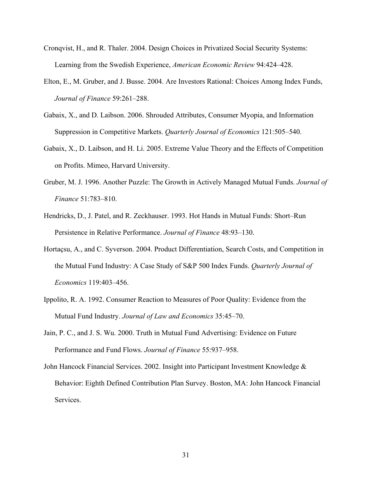- Cronqvist, H., and R. Thaler. 2004. Design Choices in Privatized Social Security Systems: Learning from the Swedish Experience, *American Economic Review* 94:424–428.
- Elton, E., M. Gruber, and J. Busse. 2004. Are Investors Rational: Choices Among Index Funds, *Journal of Finance* 59:261–288.
- Gabaix, X., and D. Laibson. 2006. Shrouded Attributes, Consumer Myopia, and Information Suppression in Competitive Markets. *Quarterly Journal of Economics* 121:505–540.
- Gabaix, X., D. Laibson, and H. Li. 2005. Extreme Value Theory and the Effects of Competition on Profits. Mimeo, Harvard University.
- Gruber, M. J. 1996. Another Puzzle: The Growth in Actively Managed Mutual Funds. *Journal of Finance* 51:783–810.
- Hendricks, D., J. Patel, and R. Zeckhauser. 1993. Hot Hands in Mutual Funds: Short–Run Persistence in Relative Performance. *Journal of Finance* 48:93–130.
- Hortaçsu, A., and C. Syverson. 2004. Product Differentiation, Search Costs, and Competition in the Mutual Fund Industry: A Case Study of S&P 500 Index Funds. *Quarterly Journal of Economics* 119:403–456.
- Ippolito, R. A. 1992. Consumer Reaction to Measures of Poor Quality: Evidence from the Mutual Fund Industry. *Journal of Law and Economics* 35:45–70.
- Jain, P. C., and J. S. Wu. 2000. Truth in Mutual Fund Advertising: Evidence on Future Performance and Fund Flows. *Journal of Finance* 55:937–958.
- John Hancock Financial Services. 2002. Insight into Participant Investment Knowledge & Behavior: Eighth Defined Contribution Plan Survey. Boston, MA: John Hancock Financial Services.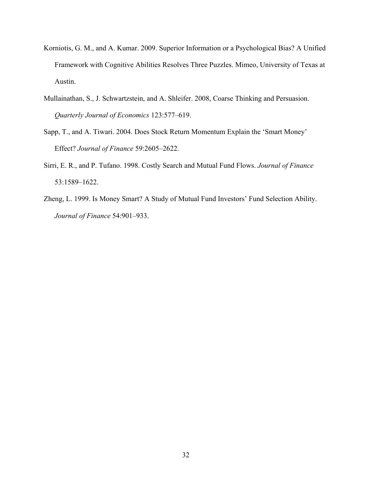- Korniotis, G. M., and A. Kumar. 2009. Superior Information or a Psychological Bias? A Unified Framework with Cognitive Abilities Resolves Three Puzzles. Mimeo, University of Texas at Austin.
- Mullainathan, S., J. Schwartzstein, and A. Shleifer. 2008, Coarse Thinking and Persuasion. *Quarterly Journal of Economics* 123:577–619.
- Sapp, T., and A. Tiwari. 2004. Does Stock Return Momentum Explain the 'Smart Money' Effect? *Journal of Finance* 59:2605–2622.
- Sirri, E. R., and P. Tufano. 1998. Costly Search and Mutual Fund Flows. *Journal of Finance* 53:1589–1622.
- Zheng, L. 1999. Is Money Smart? A Study of Mutual Fund Investors' Fund Selection Ability. *Journal of Finance* 54:901–933.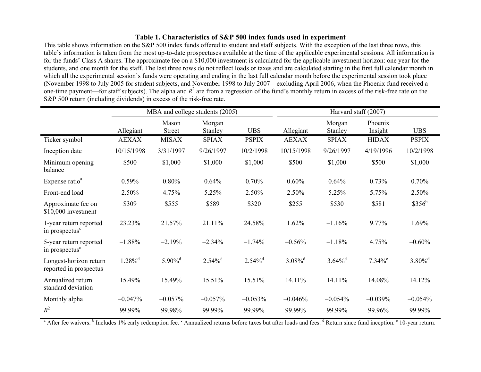### **Table 1. Characteristics of S&P 500 index funds used in experiment**

This table shows information on the S&P 500 index funds offered to student and staff subjects. With the exception of the last three rows, this table's information is taken from the most up-to-date prospectuses available at the time of the applicable experimental sessions. All information is for the funds' Class A shares. The approximate fee on a \$10,000 investment is calculated for the applicable investment horizon: one year for the students, and one month for the staff. The last three rows do not reflect loads or taxes and are calculated starting in the first full calendar month in which all the experimental session's funds were operating and ending in the last full calendar month before the experimental session took place (November 1998 to July 2005 for student subjects, and November 1998 to July 2007—excluding April 2006, when the Phoenix fund received a one-time payment—for staff subjects). The alpha and  $R^2$  are from a regression of the fund's monthly return in excess of the risk-free rate on the S&P 500 return (including dividends) in excess of the risk-free rate.

|                                                      |                       |                        | MBA and college students (2005) |                       | Harvard staff (2007)  |                       |                       |                       |
|------------------------------------------------------|-----------------------|------------------------|---------------------------------|-----------------------|-----------------------|-----------------------|-----------------------|-----------------------|
|                                                      | Allegiant             | Mason<br><b>Street</b> | Morgan<br>Stanley               | <b>UBS</b>            | Allegiant             | Morgan<br>Stanley     | Phoenix<br>Insight    | <b>UBS</b>            |
| Ticker symbol                                        | <b>AEXAX</b>          | <b>MISAX</b>           | <b>SPIAX</b>                    | <b>PSPIX</b>          | <b>AEXAX</b>          | <b>SPIAX</b>          | <b>HIDAX</b>          | <b>PSPIX</b>          |
| Inception date                                       | 10/15/1998            | 3/31/1997              | 9/26/1997                       | 10/2/1998             | 10/15/1998            | 9/26/1997             | 4/19/1996             | 10/2/1998             |
| Minimum opening<br>balance                           | \$500                 | \$1,000                | \$1,000                         | \$1,000               | \$500                 | \$1,000               | \$500                 | \$1,000               |
| Expense ratio <sup>a</sup>                           | 0.59%                 | 0.80%                  | 0.64%                           | 0.70%                 | 0.60%                 | 0.64%                 | 0.73%                 | 0.70%                 |
| Front-end load                                       | 2.50%                 | 4.75%                  | 5.25%                           | 2.50%                 | 2.50%                 | 5.25%                 | 5.75%                 | 2.50%                 |
| Approximate fee on<br>\$10,000 investment            | \$309                 | \$555                  | \$589                           | \$320                 | \$255                 | \$530                 | \$581                 | $$356^b$              |
| 1-year return reported<br>in prospectus <sup>c</sup> | 23.23%                | 21.57%                 | 21.11%                          | 24.58%                | 1.62%                 | $-1.16%$              | 9.77%                 | 1.69%                 |
| 5-year return reported<br>in prospectus <sup>c</sup> | $-1.88%$              | $-2.19%$               | $-2.34%$                        | $-1.74%$              | $-0.56%$              | $-1.18%$              | 4.75%                 | $-0.60%$              |
| Longest-horizon return<br>reported in prospectus     | $1.28\%$ <sup>d</sup> | $5.90\%$ <sup>d</sup>  | $2.54\%$ <sup>d</sup>           | $2.54\%$ <sup>d</sup> | $3.08\%$ <sup>d</sup> | $3.64\%$ <sup>d</sup> | $7.34\%$ <sup>e</sup> | $3.80\%$ <sup>d</sup> |
| Annualized return<br>standard deviation              | 15.49%                | 15.49%                 | 15.51%                          | 15.51%                | 14.11%                | 14.11%                | 14.08%                | 14.12%                |
| Monthly alpha                                        | $-0.047%$             | $-0.057%$              | $-0.057%$                       | $-0.053%$             | $-0.046%$             | $-0.054%$             | $-0.039%$             | $-0.054%$             |
| $R^2$                                                | 99.99%                | 99.98%                 | 99.99%                          | 99.99%                | 99.99%                | 99.99%                | 99.96%                | 99.99%                |

<sup>a</sup> After fee waivers. <sup>b</sup> Includes 1% early redemption fee. <sup>c</sup> Annualized returns before taxes but after loads and fees. <sup>d</sup> Return since fund inception. <sup>e</sup> 10-year return.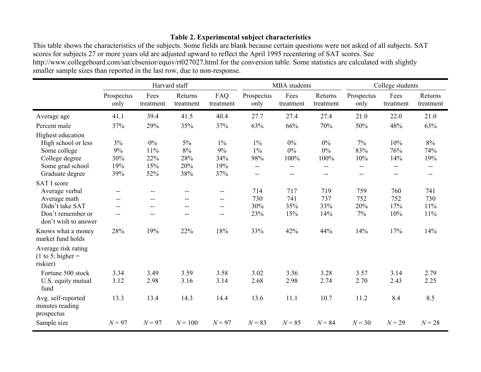### **Table 2. Experimental subject characteristics**

This table shows the characteristics of the subjects. Some fields are blank because certain questions were not asked of all subjects. SAT scores for subjects 27 or more years old are adjusted upward to reflect the April 1995 recentering of SAT scores. See http://www.collegeboard.com/sat/cbsenior/equiv/rt027027.html for the conversion table. Some statistics are calculated with slightly smaller sample sizes than reported in the last row, due to non-response.

|                                                        | Harvard staff            |                          |                      |                          |                          | <b>MBA</b> students |                          | College students   |                   |                          |
|--------------------------------------------------------|--------------------------|--------------------------|----------------------|--------------------------|--------------------------|---------------------|--------------------------|--------------------|-------------------|--------------------------|
|                                                        | Prospectus<br>only       | Fees<br>treatment        | Returns<br>treatment | FAQ<br>treatment         | Prospectus<br>only       | Fees<br>treatment   | Returns<br>treatment     | Prospectus<br>only | Fees<br>treatment | Returns<br>treatment     |
| Average age                                            | 41.1                     | 39.4                     | 41.5                 | 40.4                     | 27.7                     | 27.4                | 27.4                     | 21.0               | 22.0              | 21.0                     |
| Percent male                                           | 37%                      | 29%                      | 35%                  | 37%                      | 63%                      | 66%                 | 70%                      | 50%                | 48%               | 63%                      |
| Highest education                                      |                          |                          |                      |                          |                          |                     |                          |                    |                   |                          |
| High school or less                                    | 3%                       | $0\%$                    | $5\%$                | $1\%$                    | $1\%$                    | $0\%$               | $0\%$                    | 7%                 | 10%               | 8%                       |
| Some college                                           | 9%                       | 11%                      | 8%                   | 9%                       | $1\%$                    | $0\%$               | 0%                       | 83%                | 76%               | 74%                      |
| College degree                                         | 30%                      | 22%                      | 28%                  | 34%                      | 98%                      | 100%                | 100%                     | 10%                | 14%               | 19%                      |
| Some grad school                                       | 19%                      | 15%                      | 20%                  | 19%                      | $\overline{\phantom{a}}$ | $\qquad \qquad -$   | $\overline{\phantom{a}}$ | $- -$              | --                | --                       |
| Graduate degree                                        | 39%                      | 52%                      | 38%                  | 37%                      | --                       | $\qquad \qquad -$   | $-$                      | --                 | --                | $\overline{\phantom{m}}$ |
| <b>SAT I score</b>                                     |                          |                          |                      |                          |                          |                     |                          |                    |                   |                          |
| Average verbal                                         | $\overline{\phantom{m}}$ | $\overline{\phantom{a}}$ | $-$                  | $\overline{\phantom{m}}$ | 714                      | 717                 | 719                      | 759                | 760               | 741                      |
| Average math                                           | $\overline{a}$           | $\overline{a}$           | $-$                  | $-$                      | 730                      | 741                 | 737                      | 752                | 752               | 730                      |
| Didn't take SAT                                        | --                       | $\overline{a}$           | $-$                  | $- -$                    | 30%                      | 35%                 | 33%                      | 20%                | 17%               | 11%                      |
| Don't remember or<br>don't wish to answer              | $- -$                    | $\mathbf{u}$             | --                   | $\overline{\phantom{a}}$ | 23%                      | 15%                 | 14%                      | 7%                 | 10%               | 11%                      |
| Knows what a money<br>market fund holds                | 28%                      | 19%                      | 22%                  | 18%                      | 33%                      | 42%                 | 44%                      | 14%                | 17%               | 14%                      |
| Average risk rating<br>$(1 to 5; higher =$<br>riskier) |                          |                          |                      |                          |                          |                     |                          |                    |                   |                          |
| Fortune 500 stock                                      | 3.34                     | 3.49                     | 3.59                 | 3.58                     | 3.02                     | 3.36                | 3.28                     | 3.57               | 3.14              | 2.79                     |
| U.S. equity mutual<br>fund                             | 3.12                     | 2.98                     | 3.16                 | 3.14                     | 2.68                     | 2.98                | 2.74                     | 2.70               | 2.43              | 2.25                     |
| Avg. self-reported<br>minutes reading<br>prospectus    | 13.3                     | 13.4                     | 14.3                 | 14.4                     | 13.6                     | 11.1                | 10.7                     | 11.2               | 8.4               | 8.5                      |
| Sample size                                            | $N = 97$                 | $N = 97$                 | $N = 100$            | $N = 97$                 | $N = 83$                 | $N = 85$            | $N = 84$                 | $N = 30$           | $N = 29$          | $N = 28$                 |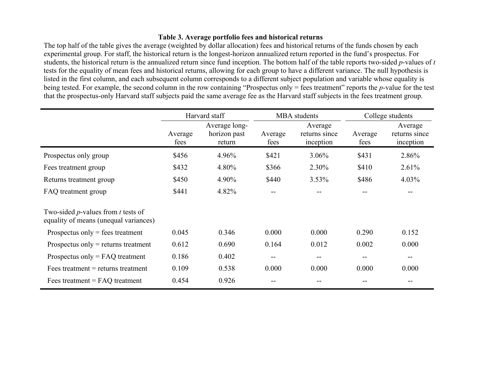### **Table 3. Average portfolio fees and historical returns**

The top half of the table gives the average (weighted by dollar allocation) fees and historical returns of the funds chosen by each experimental group. For staff, the historical return is the longest-horizon annualized return reported in the fund's prospectus. For students, the historical return is the annualized return since fund inception. The bottom half of the table reports two-sided *p*-values of *t* tests for the equality of mean fees and historical returns, allowing for each group to have a different variance. The null hypothesis is listed in the first column, and each subsequent column corresponds to a different subject population and variable whose equality is being tested. For example, the second column in the row containing "Prospectus only = fees treatment" reports the *p*-value for the test that the prospectus-only Harvard staff subjects paid the same average fee as the Harvard staff subjects in the fees treatment group.

|                                                                                  | Harvard staff   |                                         |                 | <b>MBA</b> students                   | College students |                                       |
|----------------------------------------------------------------------------------|-----------------|-----------------------------------------|-----------------|---------------------------------------|------------------|---------------------------------------|
|                                                                                  | Average<br>fees | Average long-<br>horizon past<br>return | Average<br>fees | Average<br>returns since<br>inception | Average<br>fees  | Average<br>returns since<br>inception |
| Prospectus only group                                                            | \$456           | 4.96%                                   | \$421           | 3.06%                                 | \$431            | 2.86%                                 |
| Fees treatment group                                                             | \$432           | 4.80%                                   | \$366           | 2.30%                                 | \$410            | 2.61%                                 |
| Returns treatment group                                                          | \$450           | 4.90%                                   | \$440           | $3.53\%$                              | \$486            | $4.03\%$                              |
| FAQ treatment group                                                              | \$441           | 4.82%                                   |                 |                                       |                  |                                       |
| Two-sided $p$ -values from $t$ tests of<br>equality of means (unequal variances) |                 |                                         |                 |                                       |                  |                                       |
| Prospectus only $=$ fees treatment                                               | 0.045           | 0.346                                   | 0.000           | 0.000                                 | 0.290            | 0.152                                 |
| Prospectus only $=$ returns treatment                                            | 0.612           | 0.690                                   | 0.164           | 0.012                                 | 0.002            | 0.000                                 |
| Prospectus only $=$ FAQ treatment                                                | 0.186           | 0.402                                   | $- -$           |                                       | --               |                                       |
| Fees treatment $=$ returns treatment                                             | 0.109           | 0.538                                   | 0.000           | 0.000                                 | 0.000            | 0.000                                 |
| Fees treatment $=$ FAQ treatment                                                 | 0.454           | 0.926                                   |                 |                                       |                  |                                       |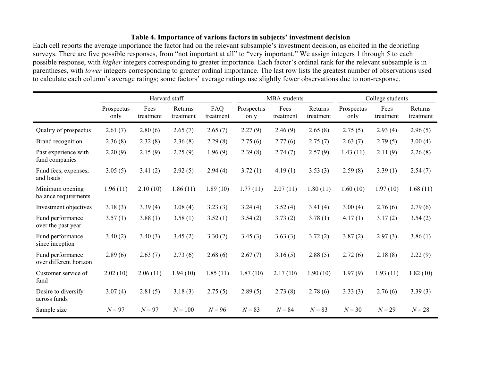### **Table 4. Importance of various factors in subjects' investment decision**

Each cell reports the average importance the factor had on the relevant subsample's investment decision, as elicited in the debriefing surveys. There are five possible responses, from "not important at all" to "very important." We assign integers 1 through 5 to each possible response, with *higher* integers corresponding to greater importance. Each factor's ordinal rank for the relevant subsample is in parentheses, with *lower* integers corresponding to greater ordinal importance. The last row lists the greatest number of observations used to calculate each column's average ratings; some factors' average ratings use slightly fewer observations due to non-response.

|                                            |                    |                   | Harvard staff        |                  |                    | <b>MBA</b> students |                      |                    | College students  |                      |
|--------------------------------------------|--------------------|-------------------|----------------------|------------------|--------------------|---------------------|----------------------|--------------------|-------------------|----------------------|
|                                            | Prospectus<br>only | Fees<br>treatment | Returns<br>treatment | FAQ<br>treatment | Prospectus<br>only | Fees<br>treatment   | Returns<br>treatment | Prospectus<br>only | Fees<br>treatment | Returns<br>treatment |
| Quality of prospectus                      | 2.61(7)            | 2.80(6)           | 2.65(7)              | 2.65(7)          | 2.27(9)            | 2.46(9)             | 2.65(8)              | 2.75(5)            | 2.93(4)           | 2.96(5)              |
| Brand recognition                          | 2.36(8)            | 2.32(8)           | 2.36(8)              | 2.29(8)          | 2.75(6)            | 2.77(6)             | 2.75(7)              | 2.63(7)            | 2.79(5)           | 3.00(4)              |
| Past experience with<br>fund companies     | 2.20(9)            | 2.15(9)           | 2.25(9)              | 1.96(9)          | 2.39(8)            | 2.74(7)             | 2.57(9)              | 1.43(11)           | 2.11(9)           | 2.26(8)              |
| Fund fees, expenses,<br>and loads          | 3.05(5)            | 3.41(2)           | 2.92(5)              | 2.94(4)          | 3.72(1)            | 4.19(1)             | 3.53(3)              | 2.59(8)            | 3.39(1)           | 2.54(7)              |
| Minimum opening<br>balance requirements    | 1.96(11)           | 2.10(10)          | 1.86(11)             | 1.89(10)         | 1.77(11)           | 2.07(11)            | 1.80(11)             | 1.60(10)           | 1.97(10)          | 1.68(11)             |
| Investment objectives                      | 3.18(3)            | 3.39(4)           | 3.08(4)              | 3.23(3)          | 3.24(4)            | 3.52(4)             | 3.41(4)              | 3.00(4)            | 2.76(6)           | 2.79(6)              |
| Fund performance<br>over the past year     | 3.57(1)            | 3.88(1)           | 3.58(1)              | 3.52(1)          | 3.54(2)            | 3.73(2)             | 3.78(1)              | 4.17(1)            | 3.17(2)           | 3.54(2)              |
| Fund performance<br>since inception        | 3.40(2)            | 3.40(3)           | 3.45(2)              | 3.30(2)          | 3.45(3)            | 3.63(3)             | 3.72(2)              | 3.87(2)            | 2.97(3)           | 3.86(1)              |
| Fund performance<br>over different horizon | 2.89(6)            | 2.63(7)           | 2.73(6)              | 2.68(6)          | 2.67(7)            | 3.16(5)             | 2.88(5)              | 2.72(6)            | 2.18(8)           | 2.22(9)              |
| Customer service of<br>fund                | 2.02(10)           | 2.06(11)          | 1.94(10)             | 1.85(11)         | 1.87(10)           | 2.17(10)            | 1.90(10)             | 1.97(9)            | 1.93(11)          | 1.82(10)             |
| Desire to diversify<br>across funds        | 3.07(4)            | 2.81(5)           | 3.18(3)              | 2.75(5)          | 2.89(5)            | 2.73(8)             | 2.78(6)              | 3.33(3)            | 2.76(6)           | 3.39(3)              |
| Sample size                                | $N = 97$           | $N=97$            | $N = 100$            | $N = 96$         | $N = 83$           | $N = 84$            | $N = 83$             | $N = 30$           | $N = 29$          | $N=28$               |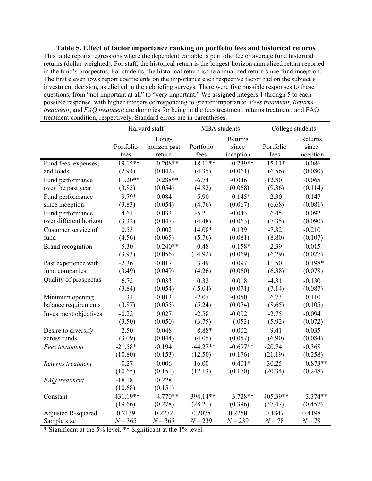**Table 5. Effect of factor importance ranking on portfolio fees and historical returns**  This table reports regressions where the dependent variable is portfolio fee or average fund historical returns (dollar-weighted). For staff, the historical return is the longest-horizon annualized return reported in the fund's prospectus. For students, the historical return is the annualized return since fund inception. The first eleven rows report coefficients on the importance each respective factor had on the subject's investment decision, as elicited in the debriefing surveys. There were five possible responses to these questions, from "not important at all" to "very important." We assigned integers 1 through 5 to each possible response, with higher integers corresponding to greater importance. *Fees treatment*, *Returns treatment*, and *FAQ treatment* are dummies for being in the fees treatment, returns treatment, and FAQ treatment condition, respectively. Standard errors are in parentheses.

|                           | Harvard staff |              |            | <b>MBA</b> students | College students |           |
|---------------------------|---------------|--------------|------------|---------------------|------------------|-----------|
|                           |               | Long-        |            | Returns             |                  | Returns   |
|                           | Portfolio     | horizon past | Portfolio  | since               | Portfolio        | since     |
|                           | fees          | return       | fees       | inception           | fees             | inception |
| Fund fees, expenses,      | $-19.15**$    | $-0.208**$   | $-18.11**$ | $-0.239**$          | $-15.11*$        | $-0.086$  |
| and loads                 | (2.94)        | (0.042)      | (4.35)     | (0.061)             | (6.56)           | (0.080)   |
| Fund performance          | $11.20**$     | $0.288**$    | $-6.74$    | $-0.046$            | $-12.80$         | $-0.065$  |
| over the past year        | (3.85)        | (0.054)      | (4.82)     | (0.068)             | (9.36)           | (0.114)   |
| Fund performance          | 9.79*         | 0.084        | 5.90       | $0.145*$            | 2.30             | 0.147     |
| since inception           | (3.83)        | (0.054)      | (4.76)     | (0.067)             | (6.68)           | (0.081)   |
| Fund performance          | 4.61          | 0.033        | $-5.21$    | $-0.043$            | 6.45             | 0.092     |
| over different horizon    | (3.32)        | (0.047)      | (4.48)     | (0.063)             | (7.35)           | (0.090)   |
| Customer service of       | 0.53          | 0.002        | 14.08*     | 0.139               | $-7.32$          | $-0.210$  |
| fund                      | (4.56)        | (0.065)      | (5.76)     | (0.081)             | (8.80)           | (0.107)   |
| Brand recognition         | $-5.30$       | $-0.240**$   | $-0.48$    | $-0.158*$           | 2.39             | $-0.015$  |
|                           | (3.93)        | (0.056)      | (4.92)     | (0.069)             | (6.29)           | (0.077)   |
| Past experience with      | $-2.36$       | $-0.017$     | 3.49       | 0.097               | 11.50            | $0.198*$  |
| fund companies            | (3.49)        | (0.049)      | (4.26)     | (0.060)             | (6.38)           | (0.078)   |
| Quality of prospectus     | 6.72          | 0.033        | 0.32       | 0.018               | $-4.31$          | $-0.130$  |
|                           | (3.84)        | (0.054)      | (5.04)     | (0.071)             | (7.14)           | (0.087)   |
| Minimum opening           | 1.31          | $-0.013$     | $-2.07$    | $-0.050$            | 6.73             | 0.110     |
| balance requirements      | (3.87)        | (0.055)      | (5.24)     | (0.074)             | (8.65)           | (0.105)   |
| Investment objectives     | $-0.22$       | 0.027        | $-2.58$    | $-0.002$            | $-2.75$          | $-0.094$  |
|                           | (3.50)        | (0.050)      | (3.75)     | (.053)              | (5.92)           | (0.072)   |
| Desire to diversify       | $-2.50$       | $-0.048$     | 8.88*      | $-0.002$            | 9.41             | $-0.035$  |
| across funds              | (3.09)        | (0.044)      | (4.05)     | (0.057)             | (6.90)           | (0.084)   |
| Fees treatment            | $-21.58*$     | $-0.194$     | $-44.27**$ | $-0.697**$          | $-20.74$         | $-0.368$  |
|                           | (10.80)       | (0.153)      | (12.50)    | (0.176)             | (21.19)          | (0.258)   |
| Returns treatment         | $-0.27$       | 0.006        | 16.00      | $0.401*$            | 30.25            | $0.873**$ |
|                           | (10.65)       | (0.151)      | (12.13)    | (0.170)             | (20.34)          | (0.248)   |
| FAQ treatment             | $-18.18$      | $-0.228$     |            |                     |                  |           |
|                           | (10.68)       | (0.151)      |            |                     |                  |           |
| Constant                  | 431.19**      | $4.770**$    | 394.14**   | $3.728**$           | 405.39**         | 3.374**   |
|                           | (19.66)       | (0.278)      | (28.21)    | (0.396)             | (37.47)          | (0.457)   |
| <b>Adjusted R-squared</b> | 0.2139        | 0.2272       | 0.2078     | 0.2250              | 0.1847           | 0.4198    |
| Sample size               | $N = 365$     | $N = 365$    | $N = 239$  | $N = 239$           | $N = 78$         | $N = 78$  |

\* Significant at the 5% level. \*\* Significant at the 1% level.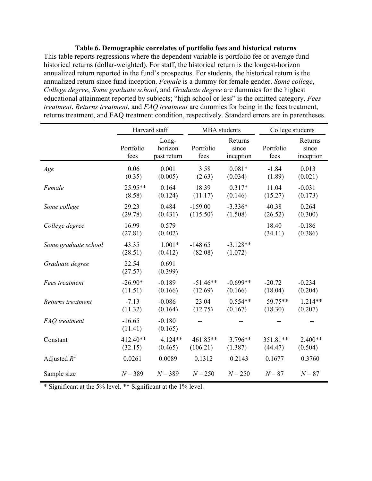**Table 6. Demographic correlates of portfolio fees and historical returns**  This table reports regressions where the dependent variable is portfolio fee or average fund historical returns (dollar-weighted). For staff, the historical return is the longest-horizon annualized return reported in the fund's prospectus. For students, the historical return is the annualized return since fund inception. *Female* is a dummy for female gender. *Some college*, *College degree*, *Some graduate school*, and *Graduate degree* are dummies for the highest educational attainment reported by subjects; "high school or less" is the omitted category. *Fees treatment*, *Returns treatment*, and *FAQ treatment* are dummies for being in the fees treatment, returns treatment, and FAQ treatment condition, respectively. Standard errors are in parentheses.

|                      | Harvard staff        |                                 | <b>MBA</b> students   |                               | College students    |                               |  |
|----------------------|----------------------|---------------------------------|-----------------------|-------------------------------|---------------------|-------------------------------|--|
|                      | Portfolio<br>fees    | Long-<br>horizon<br>past return | Portfolio<br>fees     | Returns<br>since<br>inception | Portfolio<br>fees   | Returns<br>since<br>inception |  |
| Age                  | 0.06<br>(0.35)       | 0.001<br>(0.005)                | 3.58<br>(2.63)        | $0.081*$<br>(0.034)           | $-1.84$<br>(1.89)   | 0.013<br>(0.021)              |  |
| Female               | 25.95**<br>(8.58)    | 0.164<br>(0.124)                | 18.39<br>(11.17)      | $0.317*$<br>(0.146)           | 11.04<br>(15.27)    | $-0.031$<br>(0.173)           |  |
| Some college         | 29.23<br>(29.78)     | 0.484<br>(0.431)                | $-159.00$<br>(115.50) | $-3.336*$<br>(1.508)          | 40.38<br>(26.52)    | 0.264<br>(0.300)              |  |
| College degree       | 16.99<br>(27.81)     | 0.579<br>(0.402)                |                       |                               | 18.40<br>(34.11)    | $-0.186$<br>(0.386)           |  |
| Some graduate school | 43.35<br>(28.51)     | $1.001*$<br>(0.412)             | $-148.65$<br>(82.08)  | $-3.128**$<br>(1.072)         |                     |                               |  |
| Graduate degree      | 22.54<br>(27.57)     | 0.691<br>(0.399)                |                       |                               |                     |                               |  |
| Fees treatment       | $-26.90*$<br>(11.51) | $-0.189$<br>(0.166)             | $-51.46**$<br>(12.69) | $-0.699**$<br>(0.166)         | $-20.72$<br>(18.04) | $-0.234$<br>(0.204)           |  |
| Returns treatment    | $-7.13$<br>(11.32)   | $-0.086$<br>(0.164)             | 23.04<br>(12.75)      | $0.554**$<br>(0.167)          | 59.75**<br>(18.30)  | $1.214**$<br>(0.207)          |  |
| FAQ treatment        | $-16.65$<br>(11.41)  | $-0.180$<br>(0.165)             | --                    |                               |                     | --                            |  |
| Constant             | 412.40**<br>(32.15)  | $4.124**$<br>(0.465)            | 461.85**<br>(106.21)  | 3.796**<br>(1.387)            | 351.81**<br>(44.47) | $2.400**$<br>(0.504)          |  |
| Adjusted $R^2$       | 0.0261               | 0.0089                          | 0.1312                | 0.2143                        | 0.1677              | 0.3760                        |  |
| Sample size          | $N = 389$            | $N = 389$                       | $N = 250$             | $N = 250$                     | $N = 87$            | $N = 87$                      |  |

\* Significant at the 5% level. \*\* Significant at the 1% level.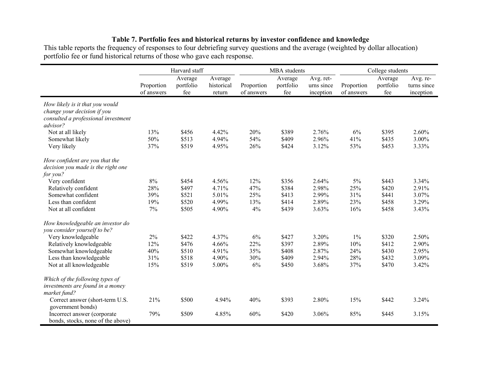### **Table 7. Portfolio fees and historical returns by investor confidence and knowledge**

This table reports the frequency of responses to four debriefing survey questions and the average (weighted by dollar allocation) portfolio fee or fund historical returns of those who gave each response.

|                                                                                                                   | Harvard staff            |                             |                                 |                          | MBA students                |                                      | College students         |                             |                                      |
|-------------------------------------------------------------------------------------------------------------------|--------------------------|-----------------------------|---------------------------------|--------------------------|-----------------------------|--------------------------------------|--------------------------|-----------------------------|--------------------------------------|
|                                                                                                                   | Proportion<br>of answers | Average<br>portfolio<br>fee | Average<br>historical<br>return | Proportion<br>of answers | Average<br>portfolio<br>fee | Avg. ret-<br>urns since<br>inception | Proportion<br>of answers | Average<br>portfolio<br>fee | Avg. re-<br>turns since<br>inception |
| How likely is it that you would<br>change your decision if you<br>consulted a professional investment<br>advisor? |                          |                             |                                 |                          |                             |                                      |                          |                             |                                      |
| Not at all likely                                                                                                 | 13%                      | \$456                       | 4.42%                           | 20%                      | \$389                       | 2.76%                                | 6%                       | \$395                       | 2.60%                                |
| Somewhat likely                                                                                                   | 50%                      | \$513                       | 4.94%                           | 54%                      | \$409                       | 2.96%                                | 41%                      | \$435                       | 3.00%                                |
| Very likely                                                                                                       | 37%                      | \$519                       | 4.95%                           | 26%                      | \$424                       | 3.12%                                | 53%                      | \$453                       | 3.33%                                |
| How confident are you that the<br>decision you made is the right one<br>for you?                                  |                          |                             |                                 |                          |                             |                                      |                          |                             |                                      |
| Very confident                                                                                                    | $8\%$                    | \$454                       | 4.56%                           | 12%                      | \$356                       | 2.64%                                | $5\%$                    | \$443                       | 3.34%                                |
| Relatively confident                                                                                              | 28%                      | \$497                       | 4.71%                           | 47%                      | \$384                       | 2.98%                                | 25%                      | \$420                       | 2.91%                                |
| Somewhat confident                                                                                                | 39%                      | \$521                       | 5.01%                           | 25%                      | \$413                       | 2.99%                                | 31%                      | \$441                       | 3.07%                                |
| Less than confident                                                                                               | 19%                      | \$520                       | 4.99%                           | 13%                      | \$414                       | 2.89%                                | 23%                      | \$458                       | 3.29%                                |
| Not at all confident                                                                                              | 7%                       | \$505                       | 4.90%                           | 4%                       | \$439                       | 3.63%                                | 16%                      | \$458                       | 3.43%                                |
| How knowledgeable an investor do<br>you consider yourself to be?                                                  |                          |                             |                                 |                          |                             |                                      |                          |                             |                                      |
| Very knowledgeable                                                                                                | 2%                       | \$422                       | 4.37%                           | 6%                       | \$427                       | 3.20%                                | $1\%$                    | \$320                       | 2.50%                                |
| Relatively knowledgeable                                                                                          | 12%                      | \$476                       | 4.66%                           | 22%                      | \$397                       | 2.89%                                | 10%                      | \$412                       | 2.90%                                |
| Somewhat knowledgeable                                                                                            | 40%                      | \$510                       | 4.91%                           | 35%                      | \$408                       | 2.87%                                | 24%                      | \$430                       | 2.95%                                |
| Less than knowledgeable                                                                                           | 31%                      | \$518                       | 4.90%                           | 30%                      | \$409                       | 2.94%                                | 28%                      | \$432                       | 3.09%                                |
| Not at all knowledgeable                                                                                          | 15%                      | \$519                       | 5.00%                           | 6%                       | \$450                       | 3.68%                                | 37%                      | \$470                       | 3.42%                                |
| Which of the following types of<br>investments are found in a money<br>market fund?                               |                          |                             |                                 |                          |                             |                                      |                          |                             |                                      |
| Correct answer (short-term U.S.<br>government bonds)                                                              | 21%                      | \$500                       | 4.94%                           | 40%                      | \$393                       | 2.80%                                | 15%                      | \$442                       | 3.24%                                |
| Incorrect answer (corporate<br>bonds, stocks, none of the above)                                                  | 79%                      | \$509                       | 4.85%                           | 60%                      | \$420                       | 3.06%                                | 85%                      | \$445                       | 3.15%                                |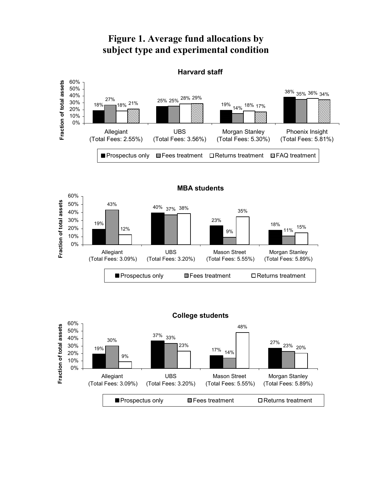# **Figure 1. Average fund allocations by subject type and experimental condition**

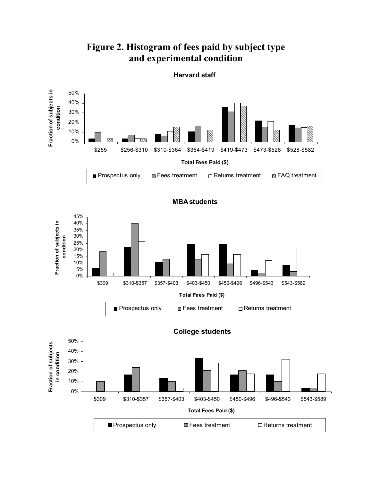

**Figure 2. Histogram of fees paid by subject type and experimental condition**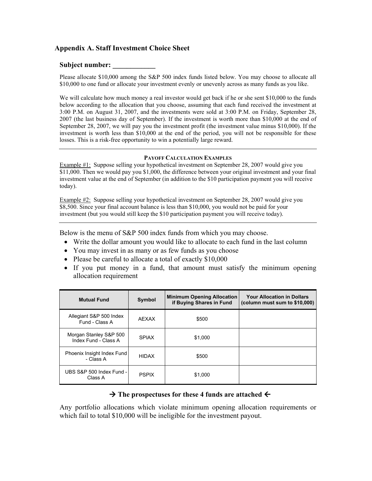### **Appendix A. Staff Investment Choice Sheet**

#### **Subject number: \_\_\_\_\_\_\_\_\_\_\_\_**

Please allocate \$10,000 among the S&P 500 index funds listed below. You may choose to allocate all \$10,000 to one fund or allocate your investment evenly or unevenly across as many funds as you like.

We will calculate how much money a real investor would get back if he or she sent \$10,000 to the funds below according to the allocation that you choose, assuming that each fund received the investment at 3:00 P.M. on August 31, 2007, and the investments were sold at 3:00 P.M. on Friday, September 28, 2007 (the last business day of September). If the investment is worth more than \$10,000 at the end of September 28, 2007, we will pay you the investment profit (the investment value minus \$10,000). If the investment is worth less than \$10,000 at the end of the period, you will not be responsible for these losses. This is a risk-free opportunity to win a potentially large reward.

#### **PAYOFF CALCULATION EXAMPLES**

Example #1: Suppose selling your hypothetical investment on September 28, 2007 would give you \$11,000. Then we would pay you \$1,000, the difference between your original investment and your final investment value at the end of September (in addition to the \$10 participation payment you will receive today).

Example #2: Suppose selling your hypothetical investment on September 28, 2007 would give you \$8,500. Since your final account balance is less than \$10,000, you would not be paid for your investment (but you would still keep the \$10 participation payment you will receive today).

Below is the menu of S&P 500 index funds from which you may choose.

- Write the dollar amount you would like to allocate to each fund in the last column
- You may invest in as many or as few funds as you choose
- Please be careful to allocate a total of exactly \$10,000
- If you put money in a fund, that amount must satisfy the minimum opening allocation requirement

| <b>Mutual Fund</b>                             | Symbol       | <b>Minimum Opening Allocation</b><br>if Buying Shares in Fund | <b>Your Allocation in Dollars</b><br>(column must sum to \$10,000) |
|------------------------------------------------|--------------|---------------------------------------------------------------|--------------------------------------------------------------------|
| Allegiant S&P 500 Index<br>Fund - Class A      | <b>AEXAX</b> | \$500                                                         |                                                                    |
| Morgan Stanley S&P 500<br>Index Fund - Class A | <b>SPIAX</b> | \$1,000                                                       |                                                                    |
| Phoenix Insight Index Fund<br>- Class A        | <b>HIDAX</b> | \$500                                                         |                                                                    |
| UBS S&P 500 Index Fund -<br>Class A            | <b>PSPIX</b> | \$1,000                                                       |                                                                    |

#### $\rightarrow$  The prospectuses for these 4 funds are attached  $\leftarrow$

Any portfolio allocations which violate minimum opening allocation requirements or which fail to total \$10,000 will be ineligible for the investment payout.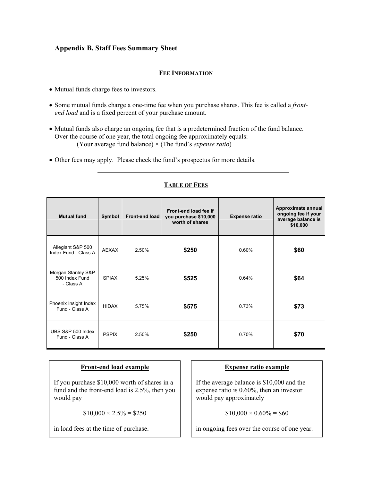### **Appendix B. Staff Fees Summary Sheet**

### **FEE INFORMATION**

- Mutual funds charge fees to investors.
- Some mutual funds charge a one-time fee when you purchase shares. This fee is called a *frontend load* and is a fixed percent of your purchase amount.
- Mutual funds also charge an ongoing fee that is a predetermined fraction of the fund balance. Over the course of one year, the total ongoing fee approximately equals: (Your average fund balance)  $\times$  (The fund's *expense ratio*)
- Other fees may apply. Please check the fund's prospectus for more details.

| <b>Mutual fund</b>                                | Symbol       | Front-end load | Front-end load fee if<br>you purchase \$10,000<br>worth of shares | <b>Expense ratio</b> | Approximate annual<br>ongoing fee if your<br>average balance is<br>\$10,000 |
|---------------------------------------------------|--------------|----------------|-------------------------------------------------------------------|----------------------|-----------------------------------------------------------------------------|
| Allegiant S&P 500<br>Index Fund - Class A         | AEXAX        | 2.50%          | \$250                                                             | 0.60%                | \$60                                                                        |
| Morgan Stanley S&P<br>500 Index Fund<br>- Class A | <b>SPIAX</b> | 5.25%          | \$525                                                             | 0.64%                | \$64                                                                        |
| Phoenix Insight Index<br>Fund - Class A           | <b>HIDAX</b> | 5.75%          | \$575                                                             | 0.73%                | \$73                                                                        |
| UBS S&P 500 Index<br>Fund - Class A               | <b>PSPIX</b> | 2.50%          | \$250                                                             | 0.70%                | \$70                                                                        |

### **TABLE OF FEES**

### **Front-end load example**

If you purchase \$10,000 worth of shares in a fund and the front-end load is 2.5%, then you would pay

 $$10,000 \times 2.5\% = $250$ 

in load fees at the time of purchase.

### **Expense ratio example**

If the average balance is \$10,000 and the expense ratio is 0.60%, then an investor would pay approximately

 $$10,000 \times 0.60\% = $60$ 

in ongoing fees over the course of one year.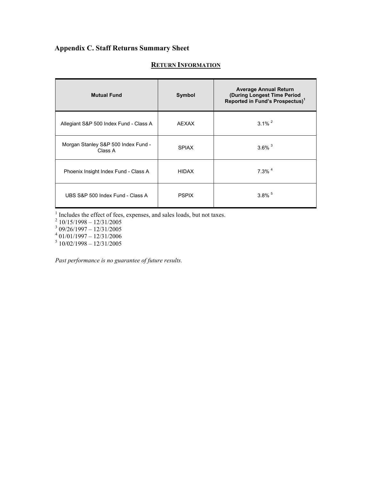## **Appendix C. Staff Returns Summary Sheet**

| <b>Mutual Fund</b>                             | Symbol       | <b>Average Annual Return</b><br>(During Longest Time Period<br>Reported in Fund's Prospectus) <sup>1</sup> |
|------------------------------------------------|--------------|------------------------------------------------------------------------------------------------------------|
| Allegiant S&P 500 Index Fund - Class A         | AEXAX        | $3.1\%$ <sup>2</sup>                                                                                       |
| Morgan Stanley S&P 500 Index Fund -<br>Class A | <b>SPIAX</b> | $3.6\%$ <sup>3</sup>                                                                                       |
| Phoenix Insight Index Fund - Class A           | <b>HIDAX</b> | $7.3\%$ <sup>4</sup>                                                                                       |
| UBS S&P 500 Index Fund - Class A               | <b>PSPIX</b> | $3.8\%$ <sup>5</sup>                                                                                       |

## **RETURN INFORMATION**

<sup>1</sup> Includes the effect of fees, expenses, and sales loads, but not taxes.<br>
<sup>2</sup> 10/15/1998 – 12/31/2005<br>
<sup>3</sup> 09/26/1997 – 12/31/2005<br>
<sup>5</sup> 10/01/1997 – 12/31/2006<br>
<sup>5</sup> 10/02/1998 – 12/31/2005

*Past performance is no guarantee of future results.*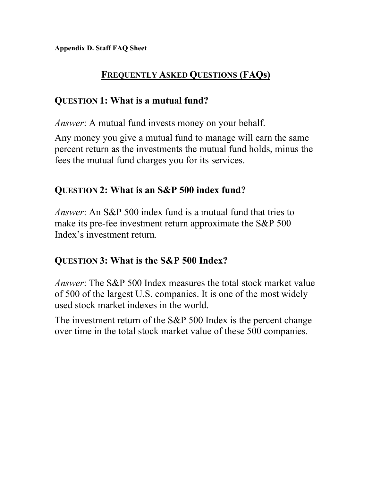**Appendix D. Staff FAQ Sheet** 

# **FREQUENTLY ASKED QUESTIONS (FAQs)**

# **QUESTION 1: What is a mutual fund?**

*Answer*: A mutual fund invests money on your behalf.

Any money you give a mutual fund to manage will earn the same percent return as the investments the mutual fund holds, minus the fees the mutual fund charges you for its services.

# **QUESTION 2: What is an S&P 500 index fund?**

*Answer*: An S&P 500 index fund is a mutual fund that tries to make its pre-fee investment return approximate the S&P 500 Index's investment return.

# **QUESTION 3: What is the S&P 500 Index?**

*Answer*: The S&P 500 Index measures the total stock market value of 500 of the largest U.S. companies. It is one of the most widely used stock market indexes in the world.

The investment return of the S&P 500 Index is the percent change over time in the total stock market value of these 500 companies.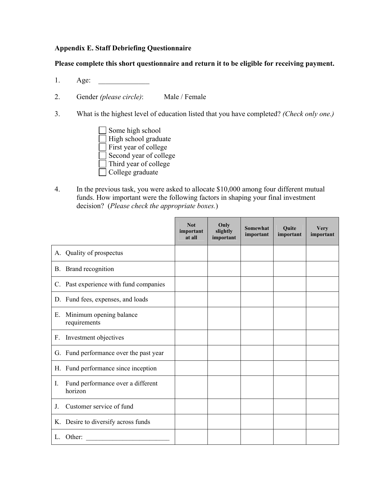### **Appendix E. Staff Debriefing Questionnaire**

### **Please complete this short questionnaire and return it to be eligible for receiving payment.**

- 1. Age:
- 2. Gender *(please circle)*: Male / Female
- 3. What is the highest level of education listed that you have completed? *(Check only one.)* 
	- Some high school High school graduate First year of college Second year of college Third year of college College graduate
- 4. In the previous task, you were asked to allocate \$10,000 among four different mutual funds. How important were the following factors in shaping your final investment decision? (*Please check the appropriate boxes.*)

|                                                    | <b>Not</b><br>important<br>at all | Only<br>slightly<br>important | <b>Somewhat</b><br>important | Ouite<br>important | <b>Very</b><br>important |
|----------------------------------------------------|-----------------------------------|-------------------------------|------------------------------|--------------------|--------------------------|
| A. Quality of prospectus                           |                                   |                               |                              |                    |                          |
| B. Brand recognition                               |                                   |                               |                              |                    |                          |
| C. Past experience with fund companies             |                                   |                               |                              |                    |                          |
| D. Fund fees, expenses, and loads                  |                                   |                               |                              |                    |                          |
| Minimum opening balance<br>Е.<br>requirements      |                                   |                               |                              |                    |                          |
| Investment objectives<br>F.                        |                                   |                               |                              |                    |                          |
| G. Fund performance over the past year             |                                   |                               |                              |                    |                          |
| H. Fund performance since inception                |                                   |                               |                              |                    |                          |
| Fund performance over a different<br>I.<br>horizon |                                   |                               |                              |                    |                          |
| Customer service of fund<br>J.                     |                                   |                               |                              |                    |                          |
| K. Desire to diversify across funds                |                                   |                               |                              |                    |                          |
| L. Other:                                          |                                   |                               |                              |                    |                          |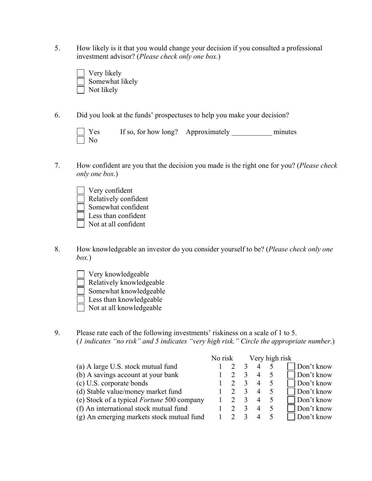- 5. How likely is it that you would change your decision if you consulted a professional investment advisor? (*Please check only one box.*)
	- Very likely Somewhat likely Not likely
- 6. Did you look at the funds' prospectuses to help you make your decision?

| $\Box$ Yes | If so, for how long? Approximately | minutes |
|------------|------------------------------------|---------|
| $\Box$ No  |                                    |         |

- 7. How confident are you that the decision you made is the right one for you? (*Please check only one box.*)
	- Very confident Relatively confident Somewhat confident Less than confident Not at all confident
- 8. How knowledgeable an investor do you consider yourself to be? (*Please check only one box.*)
	- Very knowledgeable
	- Relatively knowledgeable
	- Somewhat knowledgeable
	- Less than knowledgeable
	- $\Box$  Not at all knowledgeable
- 9. Please rate each of the following investments' riskiness on a scale of 1 to 5. (*l* indicates "no risk" and 5 indicates "very high risk." Circle the appropriate number.)

|                                                   | No risk |  | Very high risk |  |               |                    |
|---------------------------------------------------|---------|--|----------------|--|---------------|--------------------|
| (a) A large U.S. stock mutual fund                |         |  |                |  |               | Don't know         |
| (b) A savings account at your bank                |         |  |                |  | $\rightarrow$ | $\Box$ Don't know  |
| (c) U.S. corporate bonds                          |         |  |                |  | -5            | $\Box$ Don't know  |
| (d) Stable value/money market fund                |         |  |                |  |               | Don't know         |
| (e) Stock of a typical <i>Fortune</i> 500 company |         |  |                |  |               | Don't know         |
| (f) An international stock mutual fund            |         |  |                |  | -5            | $\vert$ Don't know |
| (g) An emerging markets stock mutual fund         |         |  |                |  |               | Don't know         |
|                                                   |         |  |                |  |               |                    |